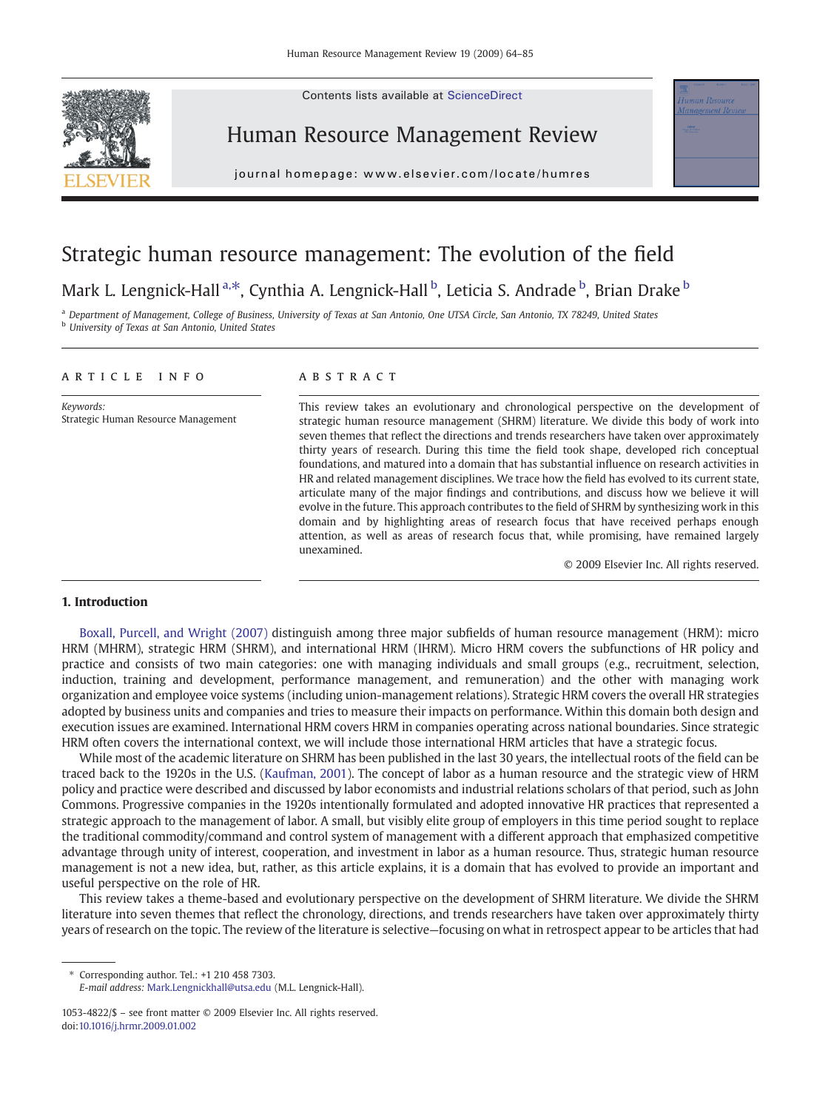Contents lists available at ScienceDirect



Human Resource Management Review



journal homepage: www.elsevier.com/locate/humres

# Strategic human resource management: The evolution of the field

## Mark L. Lengnick-Hall <sup>a,\*</sup>, Cynthia A. Lengnick-Hall <sup>b</sup>, Leticia S. Andrade <sup>b</sup>, Brian Drake <sup>b</sup>

a Department of Management, College of Business, University of Texas at San Antonio, One UTSA Circle, San Antonio, TX 78249, United States **b** University of Texas at San Antonio, United States

#### article info abstract

Keywords: Strategic Human Resource Management

This review takes an evolutionary and chronological perspective on the development of strategic human resource management (SHRM) literature. We divide this body of work into seven themes that reflect the directions and trends researchers have taken over approximately thirty years of research. During this time the field took shape, developed rich conceptual foundations, and matured into a domain that has substantial influence on research activities in HR and related management disciplines. We trace how the field has evolved to its current state, articulate many of the major findings and contributions, and discuss how we believe it will evolve in the future. This approach contributes to the field of SHRM by synthesizing work in this domain and by highlighting areas of research focus that have received perhaps enough attention, as well as areas of research focus that, while promising, have remained largely unexamined.

© 2009 Elsevier Inc. All rights reserved.

#### 1. Introduction

[Boxall, Purcell, and Wright \(2007\)](#page-18-0) distinguish among three major subfields of human resource management (HRM): micro HRM (MHRM), strategic HRM (SHRM), and international HRM (IHRM). Micro HRM covers the subfunctions of HR policy and practice and consists of two main categories: one with managing individuals and small groups (e.g., recruitment, selection, induction, training and development, performance management, and remuneration) and the other with managing work organization and employee voice systems (including union-management relations). Strategic HRM covers the overall HR strategies adopted by business units and companies and tries to measure their impacts on performance. Within this domain both design and execution issues are examined. International HRM covers HRM in companies operating across national boundaries. Since strategic HRM often covers the international context, we will include those international HRM articles that have a strategic focus.

While most of the academic literature on SHRM has been published in the last 30 years, the intellectual roots of the field can be traced back to the 1920s in the U.S. ([Kaufman, 2001](#page-19-0)). The concept of labor as a human resource and the strategic view of HRM policy and practice were described and discussed by labor economists and industrial relations scholars of that period, such as John Commons. Progressive companies in the 1920s intentionally formulated and adopted innovative HR practices that represented a strategic approach to the management of labor. A small, but visibly elite group of employers in this time period sought to replace the traditional commodity/command and control system of management with a different approach that emphasized competitive advantage through unity of interest, cooperation, and investment in labor as a human resource. Thus, strategic human resource management is not a new idea, but, rather, as this article explains, it is a domain that has evolved to provide an important and useful perspective on the role of HR.

This review takes a theme-based and evolutionary perspective on the development of SHRM literature. We divide the SHRM literature into seven themes that reflect the chronology, directions, and trends researchers have taken over approximately thirty years of research on the topic. The review of the literature is selective—focusing on what in retrospect appear to be articles that had

⁎ Corresponding author. Tel.: +1 210 458 7303.

E-mail address: [Mark.Lengnickhall@utsa.edu](mailto:Mark.Lengnickhall@utsa.edu) (M.L. Lengnick-Hall).

<sup>1053-4822/\$</sup> – see front matter © 2009 Elsevier Inc. All rights reserved. doi:[10.1016/j.hrmr.2009.01.002](http://dx.doi.org/10.1016/j.hrmr.2009.01.002)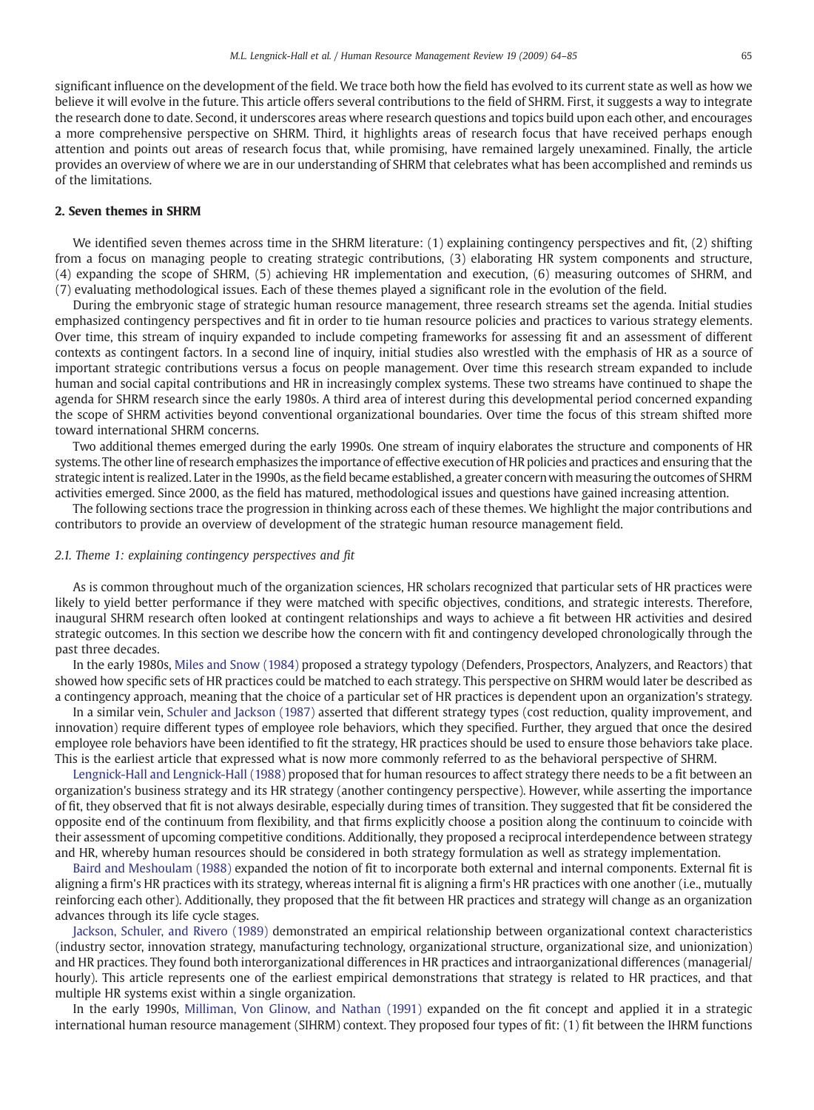significant influence on the development of the field. We trace both how the field has evolved to its current state as well as how we believe it will evolve in the future. This article offers several contributions to the field of SHRM. First, it suggests a way to integrate the research done to date. Second, it underscores areas where research questions and topics build upon each other, and encourages a more comprehensive perspective on SHRM. Third, it highlights areas of research focus that have received perhaps enough attention and points out areas of research focus that, while promising, have remained largely unexamined. Finally, the article provides an overview of where we are in our understanding of SHRM that celebrates what has been accomplished and reminds us of the limitations.

### 2. Seven themes in SHRM

We identified seven themes across time in the SHRM literature: (1) explaining contingency perspectives and fit, (2) shifting from a focus on managing people to creating strategic contributions, (3) elaborating HR system components and structure, (4) expanding the scope of SHRM, (5) achieving HR implementation and execution, (6) measuring outcomes of SHRM, and (7) evaluating methodological issues. Each of these themes played a significant role in the evolution of the field.

During the embryonic stage of strategic human resource management, three research streams set the agenda. Initial studies emphasized contingency perspectives and fit in order to tie human resource policies and practices to various strategy elements. Over time, this stream of inquiry expanded to include competing frameworks for assessing fit and an assessment of different contexts as contingent factors. In a second line of inquiry, initial studies also wrestled with the emphasis of HR as a source of important strategic contributions versus a focus on people management. Over time this research stream expanded to include human and social capital contributions and HR in increasingly complex systems. These two streams have continued to shape the agenda for SHRM research since the early 1980s. A third area of interest during this developmental period concerned expanding the scope of SHRM activities beyond conventional organizational boundaries. Over time the focus of this stream shifted more toward international SHRM concerns.

Two additional themes emerged during the early 1990s. One stream of inquiry elaborates the structure and components of HR systems. The other line of research emphasizes the importance of effective execution of HR policies and practices and ensuring that the strategic intent is realized. Later in the 1990s, as the field became established, a greater concernwith measuring the outcomes of SHRM activities emerged. Since 2000, as the field has matured, methodological issues and questions have gained increasing attention.

The following sections trace the progression in thinking across each of these themes. We highlight the major contributions and contributors to provide an overview of development of the strategic human resource management field.

#### 2.1. Theme 1: explaining contingency perspectives and fit

As is common throughout much of the organization sciences, HR scholars recognized that particular sets of HR practices were likely to yield better performance if they were matched with specific objectives, conditions, and strategic interests. Therefore, inaugural SHRM research often looked at contingent relationships and ways to achieve a fit between HR activities and desired strategic outcomes. In this section we describe how the concern with fit and contingency developed chronologically through the past three decades.

In the early 1980s, [Miles and Snow \(1984\)](#page-20-0) proposed a strategy typology (Defenders, Prospectors, Analyzers, and Reactors) that showed how specific sets of HR practices could be matched to each strategy. This perspective on SHRM would later be described as a contingency approach, meaning that the choice of a particular set of HR practices is dependent upon an organization's strategy.

In a similar vein, [Schuler and Jackson \(1987\)](#page-20-0) asserted that different strategy types (cost reduction, quality improvement, and innovation) require different types of employee role behaviors, which they specified. Further, they argued that once the desired employee role behaviors have been identified to fit the strategy, HR practices should be used to ensure those behaviors take place. This is the earliest article that expressed what is now more commonly referred to as the behavioral perspective of SHRM.

[Lengnick-Hall and Lengnick-Hall \(1988\)](#page-19-0) proposed that for human resources to affect strategy there needs to be a fit between an organization's business strategy and its HR strategy (another contingency perspective). However, while asserting the importance of fit, they observed that fit is not always desirable, especially during times of transition. They suggested that fit be considered the opposite end of the continuum from flexibility, and that firms explicitly choose a position along the continuum to coincide with their assessment of upcoming competitive conditions. Additionally, they proposed a reciprocal interdependence between strategy and HR, whereby human resources should be considered in both strategy formulation as well as strategy implementation.

[Baird and Meshoulam \(1988\)](#page-18-0) expanded the notion of fit to incorporate both external and internal components. External fit is aligning a firm's HR practices with its strategy, whereas internal fit is aligning a firm's HR practices with one another (i.e., mutually reinforcing each other). Additionally, they proposed that the fit between HR practices and strategy will change as an organization advances through its life cycle stages.

[Jackson, Schuler, and Rivero \(1989\)](#page-19-0) demonstrated an empirical relationship between organizational context characteristics (industry sector, innovation strategy, manufacturing technology, organizational structure, organizational size, and unionization) and HR practices. They found both interorganizational differences in HR practices and intraorganizational differences (managerial/ hourly). This article represents one of the earliest empirical demonstrations that strategy is related to HR practices, and that multiple HR systems exist within a single organization.

In the early 1990s, [Milliman, Von Glinow, and Nathan \(1991\)](#page-20-0) expanded on the fit concept and applied it in a strategic international human resource management (SIHRM) context. They proposed four types of fit: (1) fit between the IHRM functions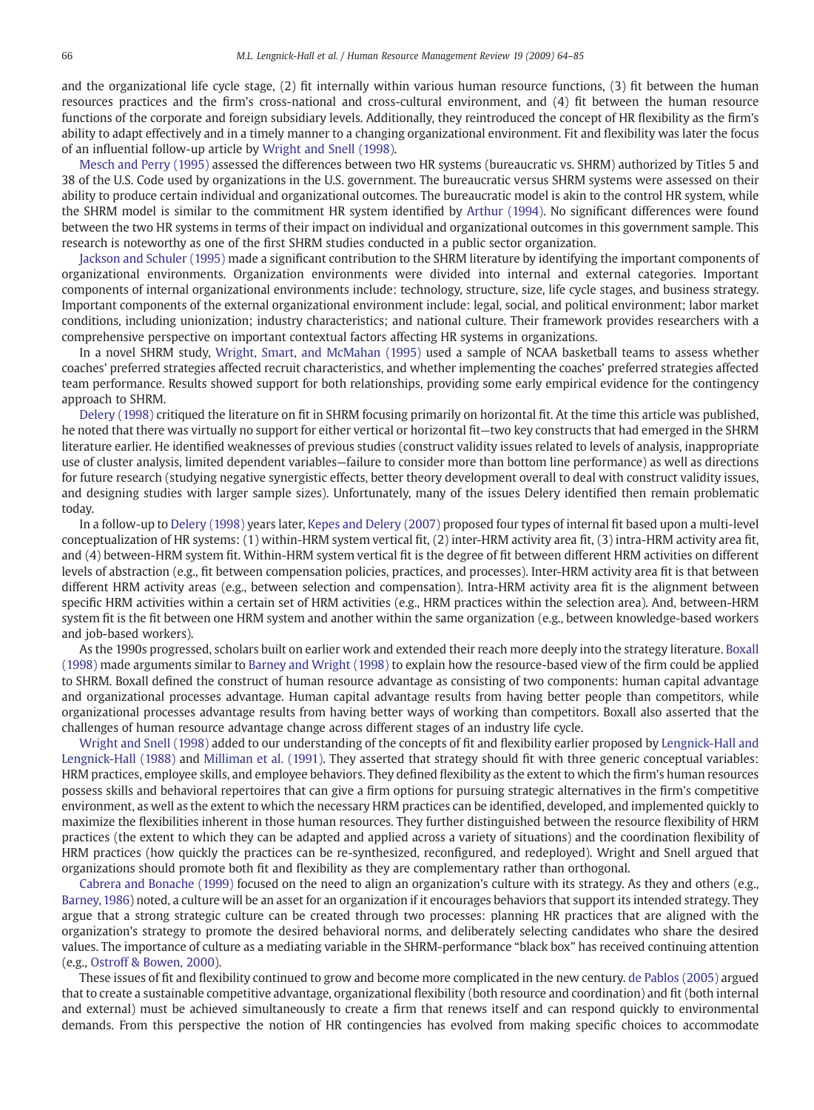and the organizational life cycle stage, (2) fit internally within various human resource functions, (3) fit between the human resources practices and the firm's cross-national and cross-cultural environment, and (4) fit between the human resource functions of the corporate and foreign subsidiary levels. Additionally, they reintroduced the concept of HR flexibility as the firm's ability to adapt effectively and in a timely manner to a changing organizational environment. Fit and flexibility was later the focus of an influential follow-up article by [Wright and Snell \(1998\).](#page-21-0)

[Mesch and Perry \(1995\)](#page-20-0) assessed the differences between two HR systems (bureaucratic vs. SHRM) authorized by Titles 5 and 38 of the U.S. Code used by organizations in the U.S. government. The bureaucratic versus SHRM systems were assessed on their ability to produce certain individual and organizational outcomes. The bureaucratic model is akin to the control HR system, while the SHRM model is similar to the commitment HR system identified by [Arthur \(1994\)](#page-18-0). No significant differences were found between the two HR systems in terms of their impact on individual and organizational outcomes in this government sample. This research is noteworthy as one of the first SHRM studies conducted in a public sector organization.

[Jackson and Schuler \(1995\)](#page-19-0) made a significant contribution to the SHRM literature by identifying the important components of organizational environments. Organization environments were divided into internal and external categories. Important components of internal organizational environments include: technology, structure, size, life cycle stages, and business strategy. Important components of the external organizational environment include: legal, social, and political environment; labor market conditions, including unionization; industry characteristics; and national culture. Their framework provides researchers with a comprehensive perspective on important contextual factors affecting HR systems in organizations.

In a novel SHRM study, [Wright, Smart, and McMahan \(1995\)](#page-21-0) used a sample of NCAA basketball teams to assess whether coaches' preferred strategies affected recruit characteristics, and whether implementing the coaches' preferred strategies affected team performance. Results showed support for both relationships, providing some early empirical evidence for the contingency approach to SHRM.

[Delery \(1998\)](#page-18-0) critiqued the literature on fit in SHRM focusing primarily on horizontal fit. At the time this article was published, he noted that there was virtually no support for either vertical or horizontal fit—two key constructs that had emerged in the SHRM literature earlier. He identified weaknesses of previous studies (construct validity issues related to levels of analysis, inappropriate use of cluster analysis, limited dependent variables—failure to consider more than bottom line performance) as well as directions for future research (studying negative synergistic effects, better theory development overall to deal with construct validity issues, and designing studies with larger sample sizes). Unfortunately, many of the issues Delery identified then remain problematic today.

In a follow-up to [Delery \(1998\)](#page-18-0) years later, [Kepes and Delery \(2007\)](#page-19-0) proposed four types of internal fit based upon a multi-level conceptualization of HR systems: (1) within-HRM system vertical fit, (2) inter-HRM activity area fit, (3) intra-HRM activity area fit, and (4) between-HRM system fit. Within-HRM system vertical fit is the degree of fit between different HRM activities on different levels of abstraction (e.g., fit between compensation policies, practices, and processes). Inter-HRM activity area fit is that between different HRM activity areas (e.g., between selection and compensation). Intra-HRM activity area fit is the alignment between specific HRM activities within a certain set of HRM activities (e.g., HRM practices within the selection area). And, between-HRM system fit is the fit between one HRM system and another within the same organization (e.g., between knowledge-based workers and job-based workers).

As the 1990s progressed, scholars built on earlier work and extended their reach more deeply into the strategy literature. [Boxall](#page-18-0) [\(1998\)](#page-18-0) made arguments similar to [Barney and Wright \(1998\)](#page-18-0) to explain how the resource-based view of the firm could be applied to SHRM. Boxall defined the construct of human resource advantage as consisting of two components: human capital advantage and organizational processes advantage. Human capital advantage results from having better people than competitors, while organizational processes advantage results from having better ways of working than competitors. Boxall also asserted that the challenges of human resource advantage change across different stages of an industry life cycle.

[Wright and Snell \(1998\)](#page-21-0) added to our understanding of the concepts of fit and flexibility earlier proposed by [Lengnick-Hall and](#page-19-0) [Lengnick-Hall \(1988\)](#page-19-0) and [Milliman et al. \(1991\).](#page-20-0) They asserted that strategy should fit with three generic conceptual variables: HRM practices, employee skills, and employee behaviors. They defined flexibility as the extent to which the firm's human resources possess skills and behavioral repertoires that can give a firm options for pursuing strategic alternatives in the firm's competitive environment, as well as the extent to which the necessary HRM practices can be identified, developed, and implemented quickly to maximize the flexibilities inherent in those human resources. They further distinguished between the resource flexibility of HRM practices (the extent to which they can be adapted and applied across a variety of situations) and the coordination flexibility of HRM practices (how quickly the practices can be re-synthesized, reconfigured, and redeployed). Wright and Snell argued that organizations should promote both fit and flexibility as they are complementary rather than orthogonal.

[Cabrera and Bonache \(1999\)](#page-18-0) focused on the need to align an organization's culture with its strategy. As they and others (e.g., [Barney, 1986\)](#page-18-0) noted, a culture will be an asset for an organization if it encourages behaviors that support its intended strategy. They argue that a strong strategic culture can be created through two processes: planning HR practices that are aligned with the organization's strategy to promote the desired behavioral norms, and deliberately selecting candidates who share the desired values. The importance of culture as a mediating variable in the SHRM-performance "black box" has received continuing attention (e.g., [Ostroff & Bowen, 2000](#page-20-0)).

These issues of fit and flexibility continued to grow and become more complicated in the new century. [de Pablos \(2005\)](#page-19-0) argued that to create a sustainable competitive advantage, organizational flexibility (both resource and coordination) and fit (both internal and external) must be achieved simultaneously to create a firm that renews itself and can respond quickly to environmental demands. From this perspective the notion of HR contingencies has evolved from making specific choices to accommodate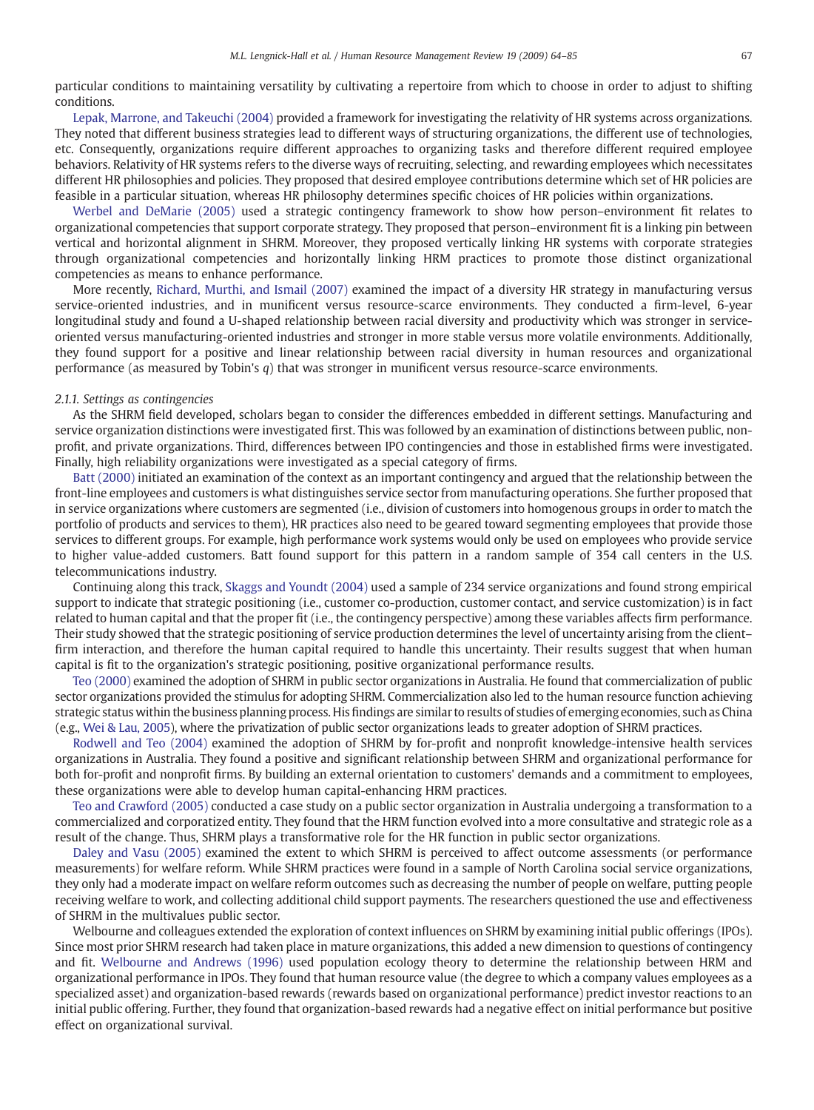particular conditions to maintaining versatility by cultivating a repertoire from which to choose in order to adjust to shifting conditions.

[Lepak, Marrone, and Takeuchi \(2004\)](#page-19-0) provided a framework for investigating the relativity of HR systems across organizations. They noted that different business strategies lead to different ways of structuring organizations, the different use of technologies, etc. Consequently, organizations require different approaches to organizing tasks and therefore different required employee behaviors. Relativity of HR systems refers to the diverse ways of recruiting, selecting, and rewarding employees which necessitates different HR philosophies and policies. They proposed that desired employee contributions determine which set of HR policies are feasible in a particular situation, whereas HR philosophy determines specific choices of HR policies within organizations.

[Werbel and DeMarie \(2005\)](#page-21-0) used a strategic contingency framework to show how person–environment fit relates to organizational competencies that support corporate strategy. They proposed that person–environment fit is a linking pin between vertical and horizontal alignment in SHRM. Moreover, they proposed vertically linking HR systems with corporate strategies through organizational competencies and horizontally linking HRM practices to promote those distinct organizational competencies as means to enhance performance.

More recently, [Richard, Murthi, and Ismail \(2007\)](#page-20-0) examined the impact of a diversity HR strategy in manufacturing versus service-oriented industries, and in munificent versus resource-scarce environments. They conducted a firm-level, 6-year longitudinal study and found a U-shaped relationship between racial diversity and productivity which was stronger in serviceoriented versus manufacturing-oriented industries and stronger in more stable versus more volatile environments. Additionally, they found support for a positive and linear relationship between racial diversity in human resources and organizational performance (as measured by Tobin's q) that was stronger in munificent versus resource-scarce environments.

#### 2.1.1. Settings as contingencies

As the SHRM field developed, scholars began to consider the differences embedded in different settings. Manufacturing and service organization distinctions were investigated first. This was followed by an examination of distinctions between public, nonprofit, and private organizations. Third, differences between IPO contingencies and those in established firms were investigated. Finally, high reliability organizations were investigated as a special category of firms.

[Batt \(2000\)](#page-18-0) initiated an examination of the context as an important contingency and argued that the relationship between the front-line employees and customers is what distinguishes service sector from manufacturing operations. She further proposed that in service organizations where customers are segmented (i.e., division of customers into homogenous groups in order to match the portfolio of products and services to them), HR practices also need to be geared toward segmenting employees that provide those services to different groups. For example, high performance work systems would only be used on employees who provide service to higher value-added customers. Batt found support for this pattern in a random sample of 354 call centers in the U.S. telecommunications industry.

Continuing along this track, [Skaggs and Youndt \(2004\)](#page-20-0) used a sample of 234 service organizations and found strong empirical support to indicate that strategic positioning (i.e., customer co-production, customer contact, and service customization) is in fact related to human capital and that the proper fit (i.e., the contingency perspective) among these variables affects firm performance. Their study showed that the strategic positioning of service production determines the level of uncertainty arising from the client– firm interaction, and therefore the human capital required to handle this uncertainty. Their results suggest that when human capital is fit to the organization's strategic positioning, positive organizational performance results.

[Teo \(2000\)](#page-20-0) examined the adoption of SHRM in public sector organizations in Australia. He found that commercialization of public sector organizations provided the stimulus for adopting SHRM. Commercialization also led to the human resource function achieving strategic status within the business planning process. His findings are similar to results of studies of emerging economies, such as China (e.g., [Wei & Lau, 2005\)](#page-21-0), where the privatization of public sector organizations leads to greater adoption of SHRM practices.

[Rodwell and Teo \(2004\)](#page-20-0) examined the adoption of SHRM by for-profit and nonprofit knowledge-intensive health services organizations in Australia. They found a positive and significant relationship between SHRM and organizational performance for both for-profit and nonprofit firms. By building an external orientation to customers' demands and a commitment to employees, these organizations were able to develop human capital-enhancing HRM practices.

[Teo and Crawford \(2005\)](#page-20-0) conducted a case study on a public sector organization in Australia undergoing a transformation to a commercialized and corporatized entity. They found that the HRM function evolved into a more consultative and strategic role as a result of the change. Thus, SHRM plays a transformative role for the HR function in public sector organizations.

[Daley and Vasu \(2005\)](#page-18-0) examined the extent to which SHRM is perceived to affect outcome assessments (or performance measurements) for welfare reform. While SHRM practices were found in a sample of North Carolina social service organizations, they only had a moderate impact on welfare reform outcomes such as decreasing the number of people on welfare, putting people receiving welfare to work, and collecting additional child support payments. The researchers questioned the use and effectiveness of SHRM in the multivalues public sector.

Welbourne and colleagues extended the exploration of context influences on SHRM by examining initial public offerings (IPOs). Since most prior SHRM research had taken place in mature organizations, this added a new dimension to questions of contingency and fit. [Welbourne and Andrews \(1996\)](#page-21-0) used population ecology theory to determine the relationship between HRM and organizational performance in IPOs. They found that human resource value (the degree to which a company values employees as a specialized asset) and organization-based rewards (rewards based on organizational performance) predict investor reactions to an initial public offering. Further, they found that organization-based rewards had a negative effect on initial performance but positive effect on organizational survival.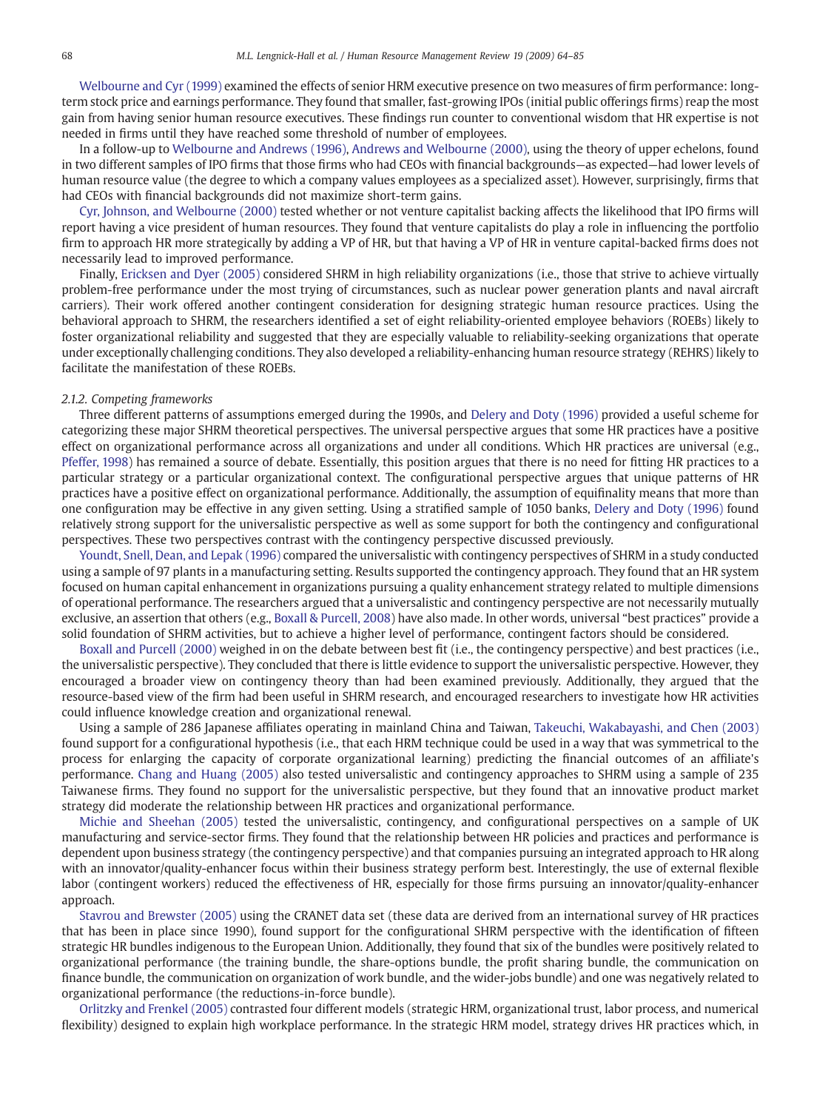[Welbourne and Cyr \(1999\)](#page-21-0) examined the effects of senior HRM executive presence on two measures of firm performance: longterm stock price and earnings performance. They found that smaller, fast-growing IPOs (initial public offerings firms) reap the most gain from having senior human resource executives. These findings run counter to conventional wisdom that HR expertise is not needed in firms until they have reached some threshold of number of employees.

In a follow-up to [Welbourne and Andrews \(1996\)](#page-21-0), [Andrews and Welbourne \(2000\)](#page-18-0), using the theory of upper echelons, found in two different samples of IPO firms that those firms who had CEOs with financial backgrounds—as expected—had lower levels of human resource value (the degree to which a company values employees as a specialized asset). However, surprisingly, firms that had CEOs with financial backgrounds did not maximize short-term gains.

[Cyr, Johnson, and Welbourne \(2000\)](#page-18-0) tested whether or not venture capitalist backing affects the likelihood that IPO firms will report having a vice president of human resources. They found that venture capitalists do play a role in influencing the portfolio firm to approach HR more strategically by adding a VP of HR, but that having a VP of HR in venture capital-backed firms does not necessarily lead to improved performance.

Finally, [Ericksen and Dyer \(2005\)](#page-19-0) considered SHRM in high reliability organizations (i.e., those that strive to achieve virtually problem-free performance under the most trying of circumstances, such as nuclear power generation plants and naval aircraft carriers). Their work offered another contingent consideration for designing strategic human resource practices. Using the behavioral approach to SHRM, the researchers identified a set of eight reliability-oriented employee behaviors (ROEBs) likely to foster organizational reliability and suggested that they are especially valuable to reliability-seeking organizations that operate under exceptionally challenging conditions. They also developed a reliability-enhancing human resource strategy (REHRS) likely to facilitate the manifestation of these ROEBs.

#### 2.1.2. Competing frameworks

Three different patterns of assumptions emerged during the 1990s, and [Delery and Doty \(1996\)](#page-18-0) provided a useful scheme for categorizing these major SHRM theoretical perspectives. The universal perspective argues that some HR practices have a positive effect on organizational performance across all organizations and under all conditions. Which HR practices are universal (e.g., [Pfeffer, 1998\)](#page-20-0) has remained a source of debate. Essentially, this position argues that there is no need for fitting HR practices to a particular strategy or a particular organizational context. The configurational perspective argues that unique patterns of HR practices have a positive effect on organizational performance. Additionally, the assumption of equifinality means that more than one configuration may be effective in any given setting. Using a stratified sample of 1050 banks, [Delery and Doty \(1996\)](#page-18-0) found relatively strong support for the universalistic perspective as well as some support for both the contingency and configurational perspectives. These two perspectives contrast with the contingency perspective discussed previously.

[Youndt, Snell, Dean, and Lepak \(1996\)](#page-21-0) compared the universalistic with contingency perspectives of SHRM in a study conducted using a sample of 97 plants in a manufacturing setting. Results supported the contingency approach. They found that an HR system focused on human capital enhancement in organizations pursuing a quality enhancement strategy related to multiple dimensions of operational performance. The researchers argued that a universalistic and contingency perspective are not necessarily mutually exclusive, an assertion that others (e.g., [Boxall & Purcell, 2008](#page-18-0)) have also made. In other words, universal "best practices" provide a solid foundation of SHRM activities, but to achieve a higher level of performance, contingent factors should be considered.

[Boxall and Purcell \(2000\)](#page-18-0) weighed in on the debate between best fit (i.e., the contingency perspective) and best practices (i.e., the universalistic perspective). They concluded that there is little evidence to support the universalistic perspective. However, they encouraged a broader view on contingency theory than had been examined previously. Additionally, they argued that the resource-based view of the firm had been useful in SHRM research, and encouraged researchers to investigate how HR activities could influence knowledge creation and organizational renewal.

Using a sample of 286 Japanese affiliates operating in mainland China and Taiwan, [Takeuchi, Wakabayashi, and Chen \(2003\)](#page-20-0) found support for a configurational hypothesis (i.e., that each HRM technique could be used in a way that was symmetrical to the process for enlarging the capacity of corporate organizational learning) predicting the financial outcomes of an affiliate's performance. [Chang and Huang \(2005\)](#page-18-0) also tested universalistic and contingency approaches to SHRM using a sample of 235 Taiwanese firms. They found no support for the universalistic perspective, but they found that an innovative product market strategy did moderate the relationship between HR practices and organizational performance.

[Michie and Sheehan \(2005\)](#page-20-0) tested the universalistic, contingency, and configurational perspectives on a sample of UK manufacturing and service-sector firms. They found that the relationship between HR policies and practices and performance is dependent upon business strategy (the contingency perspective) and that companies pursuing an integrated approach to HR along with an innovator/quality-enhancer focus within their business strategy perform best. Interestingly, the use of external flexible labor (contingent workers) reduced the effectiveness of HR, especially for those firms pursuing an innovator/quality-enhancer approach.

[Stavrou and Brewster \(2005\)](#page-20-0) using the CRANET data set (these data are derived from an international survey of HR practices that has been in place since 1990), found support for the configurational SHRM perspective with the identification of fifteen strategic HR bundles indigenous to the European Union. Additionally, they found that six of the bundles were positively related to organizational performance (the training bundle, the share-options bundle, the profit sharing bundle, the communication on finance bundle, the communication on organization of work bundle, and the wider-jobs bundle) and one was negatively related to organizational performance (the reductions-in-force bundle).

[Orlitzky and Frenkel \(2005\)](#page-20-0) contrasted four different models (strategic HRM, organizational trust, labor process, and numerical flexibility) designed to explain high workplace performance. In the strategic HRM model, strategy drives HR practices which, in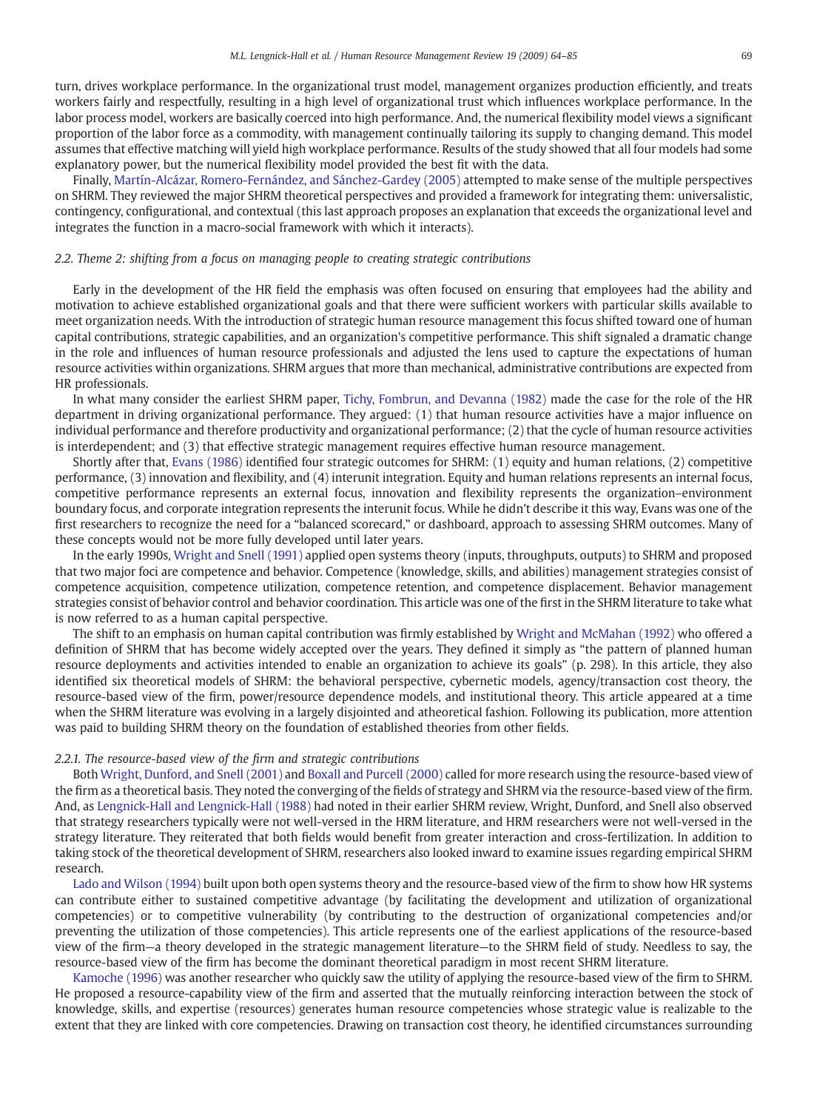turn, drives workplace performance. In the organizational trust model, management organizes production efficiently, and treats workers fairly and respectfully, resulting in a high level of organizational trust which influences workplace performance. In the labor process model, workers are basically coerced into high performance. And, the numerical flexibility model views a significant proportion of the labor force as a commodity, with management continually tailoring its supply to changing demand. This model assumes that effective matching will yield high workplace performance. Results of the study showed that all four models had some explanatory power, but the numerical flexibility model provided the best fit with the data.

Finally, [Martín-Alcázar, Romero-Fernández, and Sánchez-Gardey \(2005\)](#page-20-0) attempted to make sense of the multiple perspectives on SHRM. They reviewed the major SHRM theoretical perspectives and provided a framework for integrating them: universalistic, contingency, configurational, and contextual (this last approach proposes an explanation that exceeds the organizational level and integrates the function in a macro-social framework with which it interacts).

#### 2.2. Theme 2: shifting from a focus on managing people to creating strategic contributions

Early in the development of the HR field the emphasis was often focused on ensuring that employees had the ability and motivation to achieve established organizational goals and that there were sufficient workers with particular skills available to meet organization needs. With the introduction of strategic human resource management this focus shifted toward one of human capital contributions, strategic capabilities, and an organization's competitive performance. This shift signaled a dramatic change in the role and influences of human resource professionals and adjusted the lens used to capture the expectations of human resource activities within organizations. SHRM argues that more than mechanical, administrative contributions are expected from HR professionals.

In what many consider the earliest SHRM paper, [Tichy, Fombrun, and Devanna \(1982\)](#page-20-0) made the case for the role of the HR department in driving organizational performance. They argued: (1) that human resource activities have a major influence on individual performance and therefore productivity and organizational performance; (2) that the cycle of human resource activities is interdependent; and (3) that effective strategic management requires effective human resource management.

Shortly after that, [Evans \(1986\)](#page-19-0) identified four strategic outcomes for SHRM: (1) equity and human relations, (2) competitive performance, (3) innovation and flexibility, and (4) interunit integration. Equity and human relations represents an internal focus, competitive performance represents an external focus, innovation and flexibility represents the organization–environment boundary focus, and corporate integration represents the interunit focus. While he didn't describe it this way, Evans was one of the first researchers to recognize the need for a "balanced scorecard," or dashboard, approach to assessing SHRM outcomes. Many of these concepts would not be more fully developed until later years.

In the early 1990s, [Wright and Snell \(1991\)](#page-21-0) applied open systems theory (inputs, throughputs, outputs) to SHRM and proposed that two major foci are competence and behavior. Competence (knowledge, skills, and abilities) management strategies consist of competence acquisition, competence utilization, competence retention, and competence displacement. Behavior management strategies consist of behavior control and behavior coordination. This article was one of the first in the SHRM literature to take what is now referred to as a human capital perspective.

The shift to an emphasis on human capital contribution was firmly established by [Wright and McMahan \(1992\)](#page-21-0) who offered a definition of SHRM that has become widely accepted over the years. They defined it simply as "the pattern of planned human resource deployments and activities intended to enable an organization to achieve its goals" (p. 298). In this article, they also identified six theoretical models of SHRM: the behavioral perspective, cybernetic models, agency/transaction cost theory, the resource-based view of the firm, power/resource dependence models, and institutional theory. This article appeared at a time when the SHRM literature was evolving in a largely disjointed and atheoretical fashion. Following its publication, more attention was paid to building SHRM theory on the foundation of established theories from other fields.

#### 2.2.1. The resource-based view of the firm and strategic contributions

Both [Wright, Dunford, and Snell \(2001\)](#page-21-0) and [Boxall and Purcell \(2000\)](#page-18-0) called for more research using the resource-based view of the firm as a theoretical basis. They noted the converging of the fields of strategy and SHRM via the resource-based view of the firm. And, as [Lengnick-Hall and Lengnick-Hall \(1988\)](#page-19-0) had noted in their earlier SHRM review, Wright, Dunford, and Snell also observed that strategy researchers typically were not well-versed in the HRM literature, and HRM researchers were not well-versed in the strategy literature. They reiterated that both fields would benefit from greater interaction and cross-fertilization. In addition to taking stock of the theoretical development of SHRM, researchers also looked inward to examine issues regarding empirical SHRM research.

[Lado and Wilson \(1994\)](#page-19-0) built upon both open systems theory and the resource-based view of the firm to show how HR systems can contribute either to sustained competitive advantage (by facilitating the development and utilization of organizational competencies) or to competitive vulnerability (by contributing to the destruction of organizational competencies and/or preventing the utilization of those competencies). This article represents one of the earliest applications of the resource-based view of the firm—a theory developed in the strategic management literature—to the SHRM field of study. Needless to say, the resource-based view of the firm has become the dominant theoretical paradigm in most recent SHRM literature.

[Kamoche \(1996\)](#page-19-0) was another researcher who quickly saw the utility of applying the resource-based view of the firm to SHRM. He proposed a resource-capability view of the firm and asserted that the mutually reinforcing interaction between the stock of knowledge, skills, and expertise (resources) generates human resource competencies whose strategic value is realizable to the extent that they are linked with core competencies. Drawing on transaction cost theory, he identified circumstances surrounding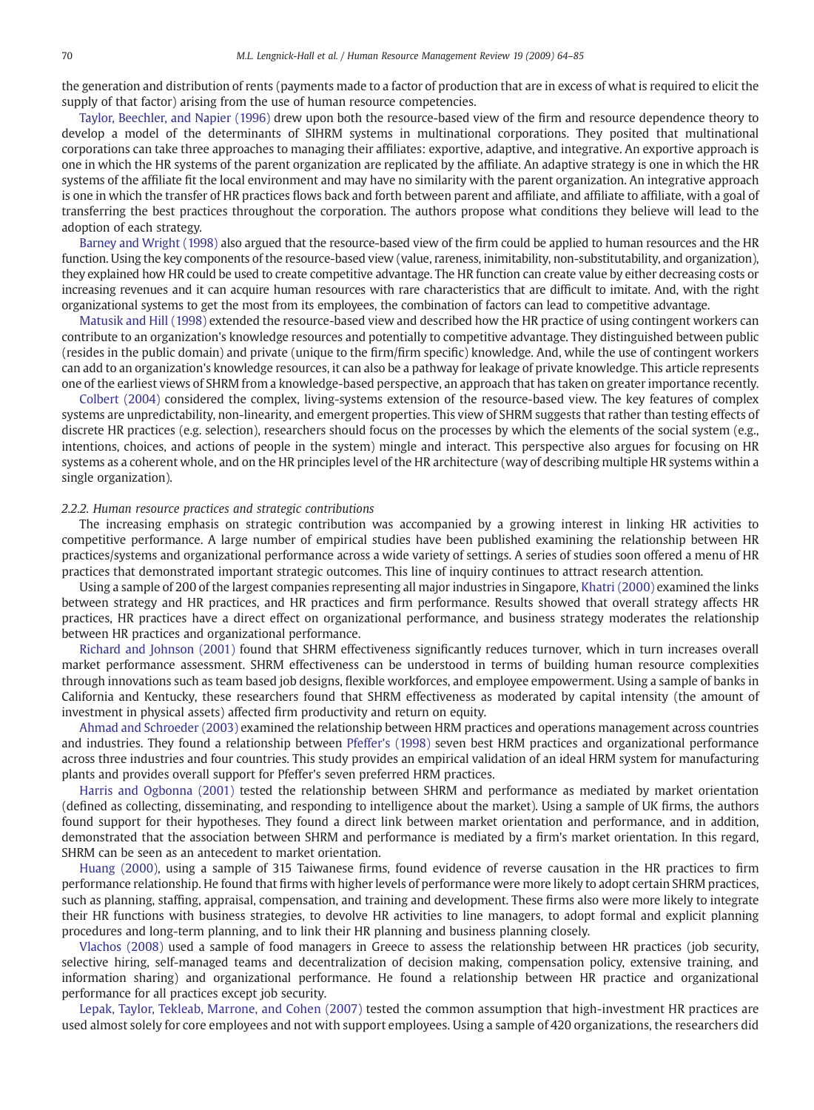the generation and distribution of rents (payments made to a factor of production that are in excess of what is required to elicit the supply of that factor) arising from the use of human resource competencies.

[Taylor, Beechler, and Napier \(1996\)](#page-20-0) drew upon both the resource-based view of the firm and resource dependence theory to develop a model of the determinants of SIHRM systems in multinational corporations. They posited that multinational corporations can take three approaches to managing their affiliates: exportive, adaptive, and integrative. An exportive approach is one in which the HR systems of the parent organization are replicated by the affiliate. An adaptive strategy is one in which the HR systems of the affiliate fit the local environment and may have no similarity with the parent organization. An integrative approach is one in which the transfer of HR practices flows back and forth between parent and affiliate, and affiliate to affiliate, with a goal of transferring the best practices throughout the corporation. The authors propose what conditions they believe will lead to the adoption of each strategy.

[Barney and Wright \(1998\)](#page-18-0) also argued that the resource-based view of the firm could be applied to human resources and the HR function. Using the key components of the resource-based view (value, rareness, inimitability, non-substitutability, and organization), they explained how HR could be used to create competitive advantage. The HR function can create value by either decreasing costs or increasing revenues and it can acquire human resources with rare characteristics that are difficult to imitate. And, with the right organizational systems to get the most from its employees, the combination of factors can lead to competitive advantage.

[Matusik and Hill \(1998\)](#page-20-0) extended the resource-based view and described how the HR practice of using contingent workers can contribute to an organization's knowledge resources and potentially to competitive advantage. They distinguished between public (resides in the public domain) and private (unique to the firm/firm specific) knowledge. And, while the use of contingent workers can add to an organization's knowledge resources, it can also be a pathway for leakage of private knowledge. This article represents one of the earliest views of SHRM from a knowledge-based perspective, an approach that has taken on greater importance recently.

[Colbert \(2004\)](#page-18-0) considered the complex, living-systems extension of the resource-based view. The key features of complex systems are unpredictability, non-linearity, and emergent properties. This view of SHRM suggests that rather than testing effects of discrete HR practices (e.g. selection), researchers should focus on the processes by which the elements of the social system (e.g., intentions, choices, and actions of people in the system) mingle and interact. This perspective also argues for focusing on HR systems as a coherent whole, and on the HR principles level of the HR architecture (way of describing multiple HR systems within a single organization).

#### 2.2.2. Human resource practices and strategic contributions

The increasing emphasis on strategic contribution was accompanied by a growing interest in linking HR activities to competitive performance. A large number of empirical studies have been published examining the relationship between HR practices/systems and organizational performance across a wide variety of settings. A series of studies soon offered a menu of HR practices that demonstrated important strategic outcomes. This line of inquiry continues to attract research attention.

Using a sample of 200 of the largest companies representing all major industries in Singapore, [Khatri \(2000\)](#page-19-0) examined the links between strategy and HR practices, and HR practices and firm performance. Results showed that overall strategy affects HR practices, HR practices have a direct effect on organizational performance, and business strategy moderates the relationship between HR practices and organizational performance.

[Richard and Johnson \(2001\)](#page-20-0) found that SHRM effectiveness significantly reduces turnover, which in turn increases overall market performance assessment. SHRM effectiveness can be understood in terms of building human resource complexities through innovations such as team based job designs, flexible workforces, and employee empowerment. Using a sample of banks in California and Kentucky, these researchers found that SHRM effectiveness as moderated by capital intensity (the amount of investment in physical assets) affected firm productivity and return on equity.

[Ahmad and Schroeder \(2003\)](#page-18-0) examined the relationship between HRM practices and operations management across countries and industries. They found a relationship between [Pfeffer's \(1998\)](#page-20-0) seven best HRM practices and organizational performance across three industries and four countries. This study provides an empirical validation of an ideal HRM system for manufacturing plants and provides overall support for Pfeffer's seven preferred HRM practices.

[Harris and Ogbonna \(2001\)](#page-19-0) tested the relationship between SHRM and performance as mediated by market orientation (defined as collecting, disseminating, and responding to intelligence about the market). Using a sample of UK firms, the authors found support for their hypotheses. They found a direct link between market orientation and performance, and in addition, demonstrated that the association between SHRM and performance is mediated by a firm's market orientation. In this regard, SHRM can be seen as an antecedent to market orientation.

[Huang \(2000\)](#page-19-0), using a sample of 315 Taiwanese firms, found evidence of reverse causation in the HR practices to firm performance relationship. He found that firms with higher levels of performance were more likely to adopt certain SHRM practices, such as planning, staffing, appraisal, compensation, and training and development. These firms also were more likely to integrate their HR functions with business strategies, to devolve HR activities to line managers, to adopt formal and explicit planning procedures and long-term planning, and to link their HR planning and business planning closely.

[Vlachos \(2008\)](#page-20-0) used a sample of food managers in Greece to assess the relationship between HR practices (job security, selective hiring, self-managed teams and decentralization of decision making, compensation policy, extensive training, and information sharing) and organizational performance. He found a relationship between HR practice and organizational performance for all practices except job security.

[Lepak, Taylor, Tekleab, Marrone, and Cohen \(2007\)](#page-19-0) tested the common assumption that high-investment HR practices are used almost solely for core employees and not with support employees. Using a sample of 420 organizations, the researchers did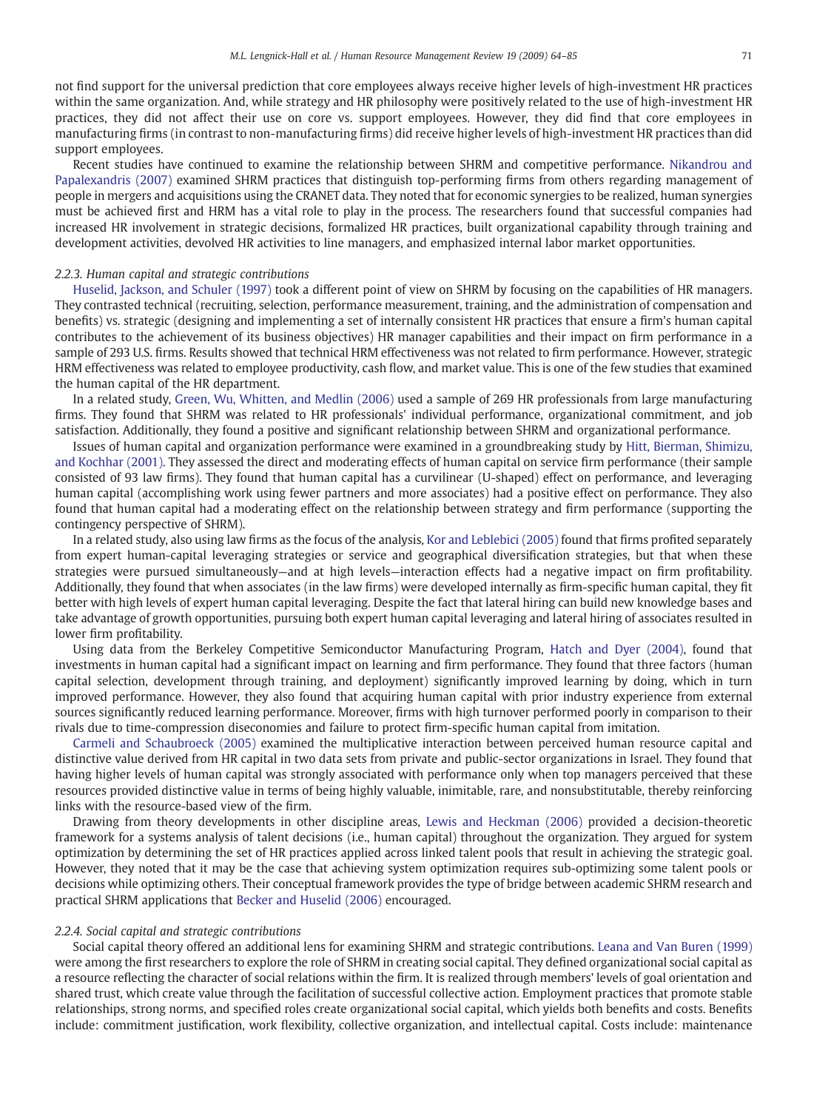not find support for the universal prediction that core employees always receive higher levels of high-investment HR practices within the same organization. And, while strategy and HR philosophy were positively related to the use of high-investment HR practices, they did not affect their use on core vs. support employees. However, they did find that core employees in manufacturing firms (in contrast to non-manufacturing firms) did receive higher levels of high-investment HR practices than did support employees.

Recent studies have continued to examine the relationship between SHRM and competitive performance. [Nikandrou and](#page-20-0) [Papalexandris \(2007\)](#page-20-0) examined SHRM practices that distinguish top-performing firms from others regarding management of people in mergers and acquisitions using the CRANET data. They noted that for economic synergies to be realized, human synergies must be achieved first and HRM has a vital role to play in the process. The researchers found that successful companies had increased HR involvement in strategic decisions, formalized HR practices, built organizational capability through training and development activities, devolved HR activities to line managers, and emphasized internal labor market opportunities.

#### 2.2.3. Human capital and strategic contributions

[Huselid, Jackson, and Schuler \(1997\)](#page-19-0) took a different point of view on SHRM by focusing on the capabilities of HR managers. They contrasted technical (recruiting, selection, performance measurement, training, and the administration of compensation and benefits) vs. strategic (designing and implementing a set of internally consistent HR practices that ensure a firm's human capital contributes to the achievement of its business objectives) HR manager capabilities and their impact on firm performance in a sample of 293 U.S. firms. Results showed that technical HRM effectiveness was not related to firm performance. However, strategic HRM effectiveness was related to employee productivity, cash flow, and market value. This is one of the few studies that examined the human capital of the HR department.

In a related study, [Green, Wu, Whitten, and Medlin \(2006\)](#page-19-0) used a sample of 269 HR professionals from large manufacturing firms. They found that SHRM was related to HR professionals' individual performance, organizational commitment, and job satisfaction. Additionally, they found a positive and significant relationship between SHRM and organizational performance.

Issues of human capital and organization performance were examined in a groundbreaking study by [Hitt, Bierman, Shimizu,](#page-19-0) [and Kochhar \(2001\).](#page-19-0) They assessed the direct and moderating effects of human capital on service firm performance (their sample consisted of 93 law firms). They found that human capital has a curvilinear (U-shaped) effect on performance, and leveraging human capital (accomplishing work using fewer partners and more associates) had a positive effect on performance. They also found that human capital had a moderating effect on the relationship between strategy and firm performance (supporting the contingency perspective of SHRM).

In a related study, also using law firms as the focus of the analysis, [Kor and Leblebici \(2005\)](#page-19-0) found that firms profited separately from expert human-capital leveraging strategies or service and geographical diversification strategies, but that when these strategies were pursued simultaneously—and at high levels—interaction effects had a negative impact on firm profitability. Additionally, they found that when associates (in the law firms) were developed internally as firm-specific human capital, they fit better with high levels of expert human capital leveraging. Despite the fact that lateral hiring can build new knowledge bases and take advantage of growth opportunities, pursuing both expert human capital leveraging and lateral hiring of associates resulted in lower firm profitability.

Using data from the Berkeley Competitive Semiconductor Manufacturing Program, [Hatch and Dyer \(2004\)](#page-19-0), found that investments in human capital had a significant impact on learning and firm performance. They found that three factors (human capital selection, development through training, and deployment) significantly improved learning by doing, which in turn improved performance. However, they also found that acquiring human capital with prior industry experience from external sources significantly reduced learning performance. Moreover, firms with high turnover performed poorly in comparison to their rivals due to time-compression diseconomies and failure to protect firm-specific human capital from imitation.

[Carmeli and Schaubroeck \(2005\)](#page-18-0) examined the multiplicative interaction between perceived human resource capital and distinctive value derived from HR capital in two data sets from private and public-sector organizations in Israel. They found that having higher levels of human capital was strongly associated with performance only when top managers perceived that these resources provided distinctive value in terms of being highly valuable, inimitable, rare, and nonsubstitutable, thereby reinforcing links with the resource-based view of the firm.

Drawing from theory developments in other discipline areas, [Lewis and Heckman \(2006\)](#page-19-0) provided a decision-theoretic framework for a systems analysis of talent decisions (i.e., human capital) throughout the organization. They argued for system optimization by determining the set of HR practices applied across linked talent pools that result in achieving the strategic goal. However, they noted that it may be the case that achieving system optimization requires sub-optimizing some talent pools or decisions while optimizing others. Their conceptual framework provides the type of bridge between academic SHRM research and practical SHRM applications that [Becker and Huselid \(2006\)](#page-18-0) encouraged.

#### 2.2.4. Social capital and strategic contributions

Social capital theory offered an additional lens for examining SHRM and strategic contributions. [Leana and Van Buren \(1999\)](#page-19-0) were among the first researchers to explore the role of SHRM in creating social capital. They defined organizational social capital as a resource reflecting the character of social relations within the firm. It is realized through members' levels of goal orientation and shared trust, which create value through the facilitation of successful collective action. Employment practices that promote stable relationships, strong norms, and specified roles create organizational social capital, which yields both benefits and costs. Benefits include: commitment justification, work flexibility, collective organization, and intellectual capital. Costs include: maintenance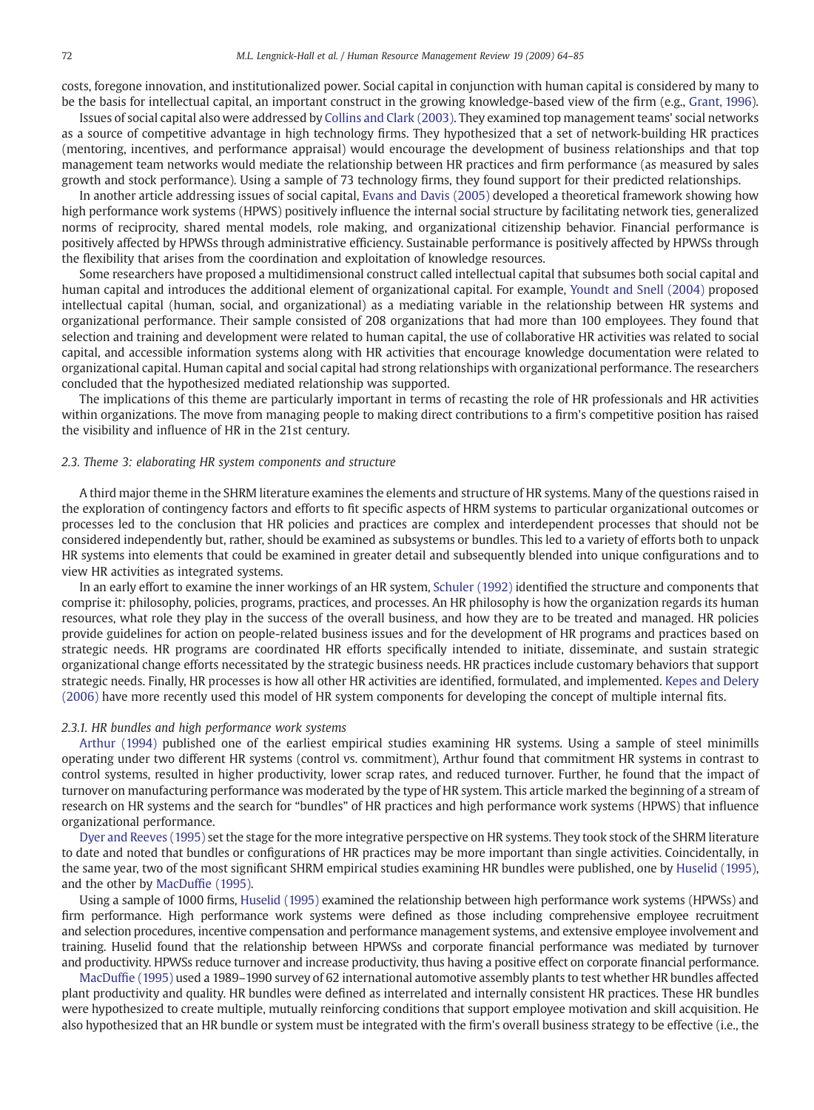costs, foregone innovation, and institutionalized power. Social capital in conjunction with human capital is considered by many to be the basis for intellectual capital, an important construct in the growing knowledge-based view of the firm (e.g., [Grant, 1996\)](#page-19-0).

Issues of social capital also were addressed by [Collins and Clark \(2003\)](#page-18-0). They examined top management teams' social networks as a source of competitive advantage in high technology firms. They hypothesized that a set of network-building HR practices (mentoring, incentives, and performance appraisal) would encourage the development of business relationships and that top management team networks would mediate the relationship between HR practices and firm performance (as measured by sales growth and stock performance). Using a sample of 73 technology firms, they found support for their predicted relationships.

In another article addressing issues of social capital, [Evans and Davis \(2005\)](#page-19-0) developed a theoretical framework showing how high performance work systems (HPWS) positively influence the internal social structure by facilitating network ties, generalized norms of reciprocity, shared mental models, role making, and organizational citizenship behavior. Financial performance is positively affected by HPWSs through administrative efficiency. Sustainable performance is positively affected by HPWSs through the flexibility that arises from the coordination and exploitation of knowledge resources.

Some researchers have proposed a multidimensional construct called intellectual capital that subsumes both social capital and human capital and introduces the additional element of organizational capital. For example, [Youndt and Snell \(2004\)](#page-21-0) proposed intellectual capital (human, social, and organizational) as a mediating variable in the relationship between HR systems and organizational performance. Their sample consisted of 208 organizations that had more than 100 employees. They found that selection and training and development were related to human capital, the use of collaborative HR activities was related to social capital, and accessible information systems along with HR activities that encourage knowledge documentation were related to organizational capital. Human capital and social capital had strong relationships with organizational performance. The researchers concluded that the hypothesized mediated relationship was supported.

The implications of this theme are particularly important in terms of recasting the role of HR professionals and HR activities within organizations. The move from managing people to making direct contributions to a firm's competitive position has raised the visibility and influence of HR in the 21st century.

#### 2.3. Theme 3: elaborating HR system components and structure

A third major theme in the SHRM literature examines the elements and structure of HR systems. Many of the questions raised in the exploration of contingency factors and efforts to fit specific aspects of HRM systems to particular organizational outcomes or processes led to the conclusion that HR policies and practices are complex and interdependent processes that should not be considered independently but, rather, should be examined as subsystems or bundles. This led to a variety of efforts both to unpack HR systems into elements that could be examined in greater detail and subsequently blended into unique configurations and to view HR activities as integrated systems.

In an early effort to examine the inner workings of an HR system, [Schuler \(1992\)](#page-20-0) identified the structure and components that comprise it: philosophy, policies, programs, practices, and processes. An HR philosophy is how the organization regards its human resources, what role they play in the success of the overall business, and how they are to be treated and managed. HR policies provide guidelines for action on people-related business issues and for the development of HR programs and practices based on strategic needs. HR programs are coordinated HR efforts specifically intended to initiate, disseminate, and sustain strategic organizational change efforts necessitated by the strategic business needs. HR practices include customary behaviors that support strategic needs. Finally, HR processes is how all other HR activities are identified, formulated, and implemented. [Kepes and Delery](#page-19-0) [\(2006\)](#page-19-0) have more recently used this model of HR system components for developing the concept of multiple internal fits.

#### 2.3.1. HR bundles and high performance work systems

[Arthur \(1994\)](#page-18-0) published one of the earliest empirical studies examining HR systems. Using a sample of steel minimills operating under two different HR systems (control vs. commitment), Arthur found that commitment HR systems in contrast to control systems, resulted in higher productivity, lower scrap rates, and reduced turnover. Further, he found that the impact of turnover on manufacturing performance was moderated by the type of HR system. This article marked the beginning of a stream of research on HR systems and the search for "bundles" of HR practices and high performance work systems (HPWS) that influence organizational performance.

[Dyer and Reeves \(1995\)](#page-19-0) set the stage for the more integrative perspective on HR systems. They took stock of the SHRM literature to date and noted that bundles or configurations of HR practices may be more important than single activities. Coincidentally, in the same year, two of the most significant SHRM empirical studies examining HR bundles were published, one by [Huselid \(1995\),](#page-19-0) and the other by MacDuffi[e \(1995\).](#page-19-0)

Using a sample of 1000 firms, [Huselid \(1995\)](#page-19-0) examined the relationship between high performance work systems (HPWSs) and firm performance. High performance work systems were defined as those including comprehensive employee recruitment and selection procedures, incentive compensation and performance management systems, and extensive employee involvement and training. Huselid found that the relationship between HPWSs and corporate financial performance was mediated by turnover and productivity. HPWSs reduce turnover and increase productivity, thus having a positive effect on corporate financial performance.

MacDuffi[e \(1995\)](#page-19-0) used a 1989–1990 survey of 62 international automotive assembly plants to test whether HR bundles affected plant productivity and quality. HR bundles were defined as interrelated and internally consistent HR practices. These HR bundles were hypothesized to create multiple, mutually reinforcing conditions that support employee motivation and skill acquisition. He also hypothesized that an HR bundle or system must be integrated with the firm's overall business strategy to be effective (i.e., the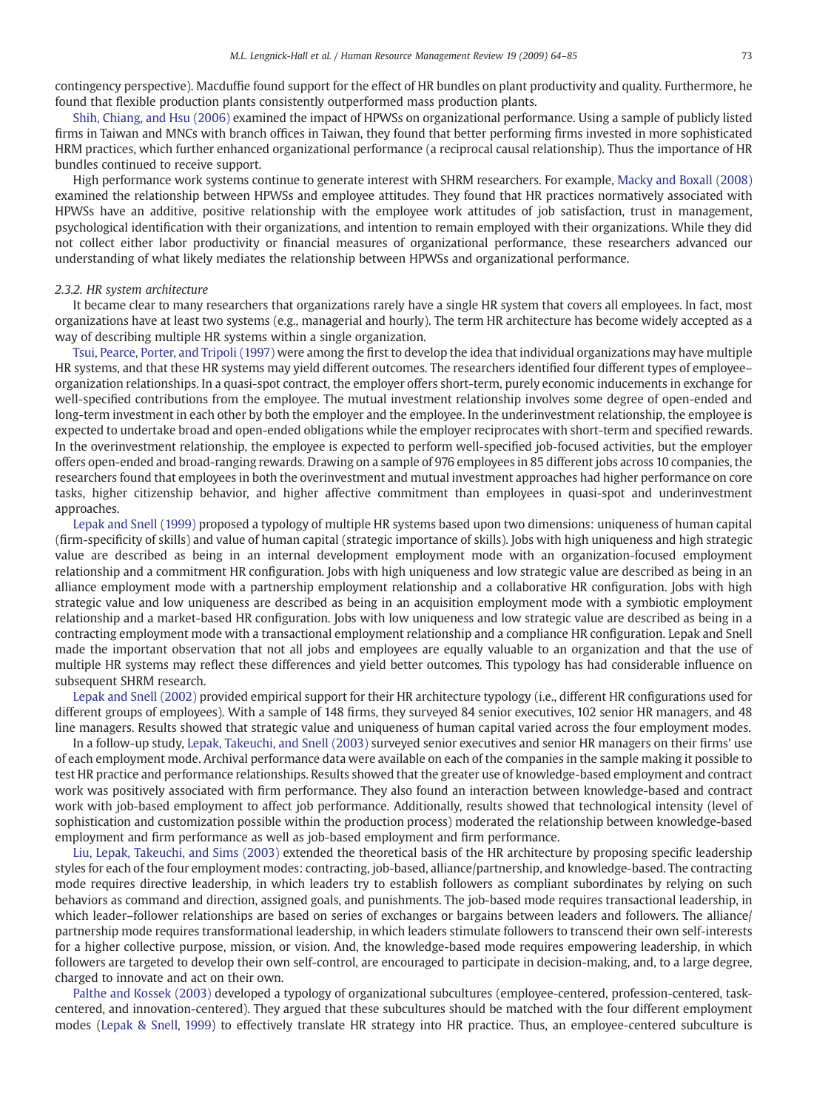contingency perspective). Macduffie found support for the effect of HR bundles on plant productivity and quality. Furthermore, he found that flexible production plants consistently outperformed mass production plants.

[Shih, Chiang, and Hsu \(2006\)](#page-20-0) examined the impact of HPWSs on organizational performance. Using a sample of publicly listed firms in Taiwan and MNCs with branch offices in Taiwan, they found that better performing firms invested in more sophisticated HRM practices, which further enhanced organizational performance (a reciprocal causal relationship). Thus the importance of HR bundles continued to receive support.

High performance work systems continue to generate interest with SHRM researchers. For example, [Macky and Boxall \(2008\)](#page-20-0) examined the relationship between HPWSs and employee attitudes. They found that HR practices normatively associated with HPWSs have an additive, positive relationship with the employee work attitudes of job satisfaction, trust in management, psychological identification with their organizations, and intention to remain employed with their organizations. While they did not collect either labor productivity or financial measures of organizational performance, these researchers advanced our understanding of what likely mediates the relationship between HPWSs and organizational performance.

#### 2.3.2. HR system architecture

It became clear to many researchers that organizations rarely have a single HR system that covers all employees. In fact, most organizations have at least two systems (e.g., managerial and hourly). The term HR architecture has become widely accepted as a way of describing multiple HR systems within a single organization.

[Tsui, Pearce, Porter, and Tripoli \(1997\)](#page-20-0) were among the first to develop the idea that individual organizations may have multiple HR systems, and that these HR systems may yield different outcomes. The researchers identified four different types of employee– organization relationships. In a quasi-spot contract, the employer offers short-term, purely economic inducements in exchange for well-specified contributions from the employee. The mutual investment relationship involves some degree of open-ended and long-term investment in each other by both the employer and the employee. In the underinvestment relationship, the employee is expected to undertake broad and open-ended obligations while the employer reciprocates with short-term and specified rewards. In the overinvestment relationship, the employee is expected to perform well-specified job-focused activities, but the employer offers open-ended and broad-ranging rewards. Drawing on a sample of 976 employees in 85 different jobs across 10 companies, the researchers found that employees in both the overinvestment and mutual investment approaches had higher performance on core tasks, higher citizenship behavior, and higher affective commitment than employees in quasi-spot and underinvestment approaches.

[Lepak and Snell \(1999\)](#page-19-0) proposed a typology of multiple HR systems based upon two dimensions: uniqueness of human capital (firm-specificity of skills) and value of human capital (strategic importance of skills). Jobs with high uniqueness and high strategic value are described as being in an internal development employment mode with an organization-focused employment relationship and a commitment HR configuration. Jobs with high uniqueness and low strategic value are described as being in an alliance employment mode with a partnership employment relationship and a collaborative HR configuration. Jobs with high strategic value and low uniqueness are described as being in an acquisition employment mode with a symbiotic employment relationship and a market-based HR configuration. Jobs with low uniqueness and low strategic value are described as being in a contracting employment mode with a transactional employment relationship and a compliance HR configuration. Lepak and Snell made the important observation that not all jobs and employees are equally valuable to an organization and that the use of multiple HR systems may reflect these differences and yield better outcomes. This typology has had considerable influence on subsequent SHRM research.

[Lepak and Snell \(2002\)](#page-19-0) provided empirical support for their HR architecture typology (i.e., different HR configurations used for different groups of employees). With a sample of 148 firms, they surveyed 84 senior executives, 102 senior HR managers, and 48 line managers. Results showed that strategic value and uniqueness of human capital varied across the four employment modes.

In a follow-up study, [Lepak, Takeuchi, and Snell \(2003\)](#page-19-0) surveyed senior executives and senior HR managers on their firms' use of each employment mode. Archival performance data were available on each of the companies in the sample making it possible to test HR practice and performance relationships. Results showed that the greater use of knowledge-based employment and contract work was positively associated with firm performance. They also found an interaction between knowledge-based and contract work with job-based employment to affect job performance. Additionally, results showed that technological intensity (level of sophistication and customization possible within the production process) moderated the relationship between knowledge-based employment and firm performance as well as job-based employment and firm performance.

[Liu, Lepak, Takeuchi, and Sims \(2003\)](#page-19-0) extended the theoretical basis of the HR architecture by proposing specific leadership styles for each of the four employment modes: contracting, job-based, alliance/partnership, and knowledge-based. The contracting mode requires directive leadership, in which leaders try to establish followers as compliant subordinates by relying on such behaviors as command and direction, assigned goals, and punishments. The job-based mode requires transactional leadership, in which leader–follower relationships are based on series of exchanges or bargains between leaders and followers. The alliance/ partnership mode requires transformational leadership, in which leaders stimulate followers to transcend their own self-interests for a higher collective purpose, mission, or vision. And, the knowledge-based mode requires empowering leadership, in which followers are targeted to develop their own self-control, are encouraged to participate in decision-making, and, to a large degree, charged to innovate and act on their own.

[Palthe and Kossek \(2003\)](#page-20-0) developed a typology of organizational subcultures (employee-centered, profession-centered, taskcentered, and innovation-centered). They argued that these subcultures should be matched with the four different employment modes ([Lepak & Snell, 1999](#page-19-0)) to effectively translate HR strategy into HR practice. Thus, an employee-centered subculture is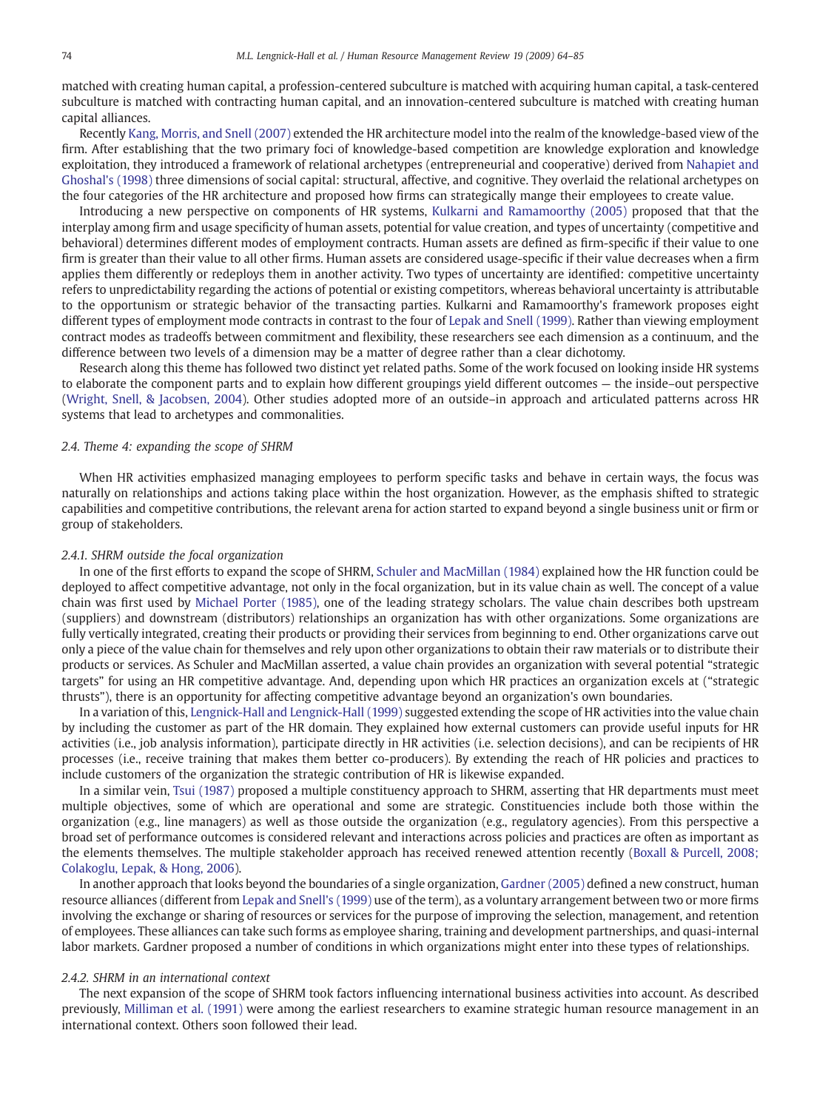matched with creating human capital, a profession-centered subculture is matched with acquiring human capital, a task-centered subculture is matched with contracting human capital, and an innovation-centered subculture is matched with creating human capital alliances.

Recently [Kang, Morris, and Snell \(2007\)](#page-19-0) extended the HR architecture model into the realm of the knowledge-based view of the firm. After establishing that the two primary foci of knowledge-based competition are knowledge exploration and knowledge exploitation, they introduced a framework of relational archetypes (entrepreneurial and cooperative) derived from [Nahapiet and](#page-20-0) [Ghoshal's \(1998\)](#page-20-0) three dimensions of social capital: structural, affective, and cognitive. They overlaid the relational archetypes on the four categories of the HR architecture and proposed how firms can strategically mange their employees to create value.

Introducing a new perspective on components of HR systems, [Kulkarni and Ramamoorthy \(2005\)](#page-19-0) proposed that that the interplay among firm and usage specificity of human assets, potential for value creation, and types of uncertainty (competitive and behavioral) determines different modes of employment contracts. Human assets are defined as firm-specific if their value to one firm is greater than their value to all other firms. Human assets are considered usage-specific if their value decreases when a firm applies them differently or redeploys them in another activity. Two types of uncertainty are identified: competitive uncertainty refers to unpredictability regarding the actions of potential or existing competitors, whereas behavioral uncertainty is attributable to the opportunism or strategic behavior of the transacting parties. Kulkarni and Ramamoorthy's framework proposes eight different types of employment mode contracts in contrast to the four of [Lepak and Snell \(1999\)](#page-19-0). Rather than viewing employment contract modes as tradeoffs between commitment and flexibility, these researchers see each dimension as a continuum, and the difference between two levels of a dimension may be a matter of degree rather than a clear dichotomy.

Research along this theme has followed two distinct yet related paths. Some of the work focused on looking inside HR systems to elaborate the component parts and to explain how different groupings yield different outcomes — the inside–out perspective [\(Wright, Snell, & Jacobsen, 2004\)](#page-21-0). Other studies adopted more of an outside–in approach and articulated patterns across HR systems that lead to archetypes and commonalities.

#### 2.4. Theme 4: expanding the scope of SHRM

When HR activities emphasized managing employees to perform specific tasks and behave in certain ways, the focus was naturally on relationships and actions taking place within the host organization. However, as the emphasis shifted to strategic capabilities and competitive contributions, the relevant arena for action started to expand beyond a single business unit or firm or group of stakeholders.

#### 2.4.1. SHRM outside the focal organization

In one of the first efforts to expand the scope of SHRM, [Schuler and MacMillan \(1984\)](#page-20-0) explained how the HR function could be deployed to affect competitive advantage, not only in the focal organization, but in its value chain as well. The concept of a value chain was first used by [Michael Porter \(1985\),](#page-20-0) one of the leading strategy scholars. The value chain describes both upstream (suppliers) and downstream (distributors) relationships an organization has with other organizations. Some organizations are fully vertically integrated, creating their products or providing their services from beginning to end. Other organizations carve out only a piece of the value chain for themselves and rely upon other organizations to obtain their raw materials or to distribute their products or services. As Schuler and MacMillan asserted, a value chain provides an organization with several potential "strategic targets" for using an HR competitive advantage. And, depending upon which HR practices an organization excels at ("strategic thrusts"), there is an opportunity for affecting competitive advantage beyond an organization's own boundaries.

In a variation of this, [Lengnick-Hall and Lengnick-Hall \(1999\)](#page-19-0) suggested extending the scope of HR activities into the value chain by including the customer as part of the HR domain. They explained how external customers can provide useful inputs for HR activities (i.e., job analysis information), participate directly in HR activities (i.e. selection decisions), and can be recipients of HR processes (i.e., receive training that makes them better co-producers). By extending the reach of HR policies and practices to include customers of the organization the strategic contribution of HR is likewise expanded.

In a similar vein, [Tsui \(1987\)](#page-20-0) proposed a multiple constituency approach to SHRM, asserting that HR departments must meet multiple objectives, some of which are operational and some are strategic. Constituencies include both those within the organization (e.g., line managers) as well as those outside the organization (e.g., regulatory agencies). From this perspective a broad set of performance outcomes is considered relevant and interactions across policies and practices are often as important as the elements themselves. The multiple stakeholder approach has received renewed attention recently ([Boxall & Purcell, 2008;](#page-18-0) [Colakoglu, Lepak, & Hong, 2006\)](#page-18-0).

In another approach that looks beyond the boundaries of a single organization, [Gardner \(2005\)](#page-19-0) defined a new construct, human resource alliances (different from [Lepak and Snell's \(1999\)](#page-19-0) use of the term), as a voluntary arrangement between two or more firms involving the exchange or sharing of resources or services for the purpose of improving the selection, management, and retention of employees. These alliances can take such forms as employee sharing, training and development partnerships, and quasi-internal labor markets. Gardner proposed a number of conditions in which organizations might enter into these types of relationships.

#### 2.4.2. SHRM in an international context

The next expansion of the scope of SHRM took factors influencing international business activities into account. As described previously, [Milliman et al. \(1991\)](#page-20-0) were among the earliest researchers to examine strategic human resource management in an international context. Others soon followed their lead.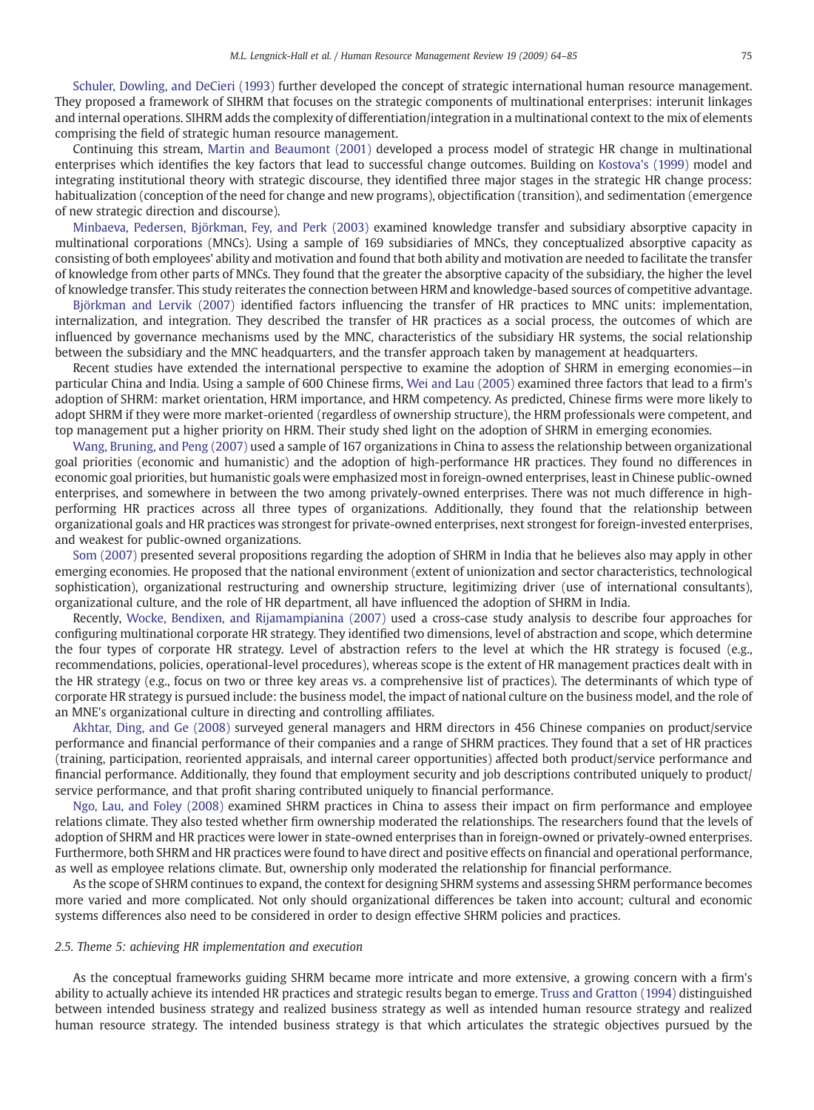[Schuler, Dowling, and DeCieri \(1993\)](#page-20-0) further developed the concept of strategic international human resource management. They proposed a framework of SIHRM that focuses on the strategic components of multinational enterprises: interunit linkages and internal operations. SIHRM adds the complexity of differentiation/integration in a multinational context to the mix of elements comprising the field of strategic human resource management.

Continuing this stream, [Martin and Beaumont \(2001\)](#page-20-0) developed a process model of strategic HR change in multinational enterprises which identifies the key factors that lead to successful change outcomes. Building on [Kostova's \(1999\)](#page-19-0) model and integrating institutional theory with strategic discourse, they identified three major stages in the strategic HR change process: habitualization (conception of the need for change and new programs), objectification (transition), and sedimentation (emergence of new strategic direction and discourse).

[Minbaeva, Pedersen, Björkman, Fey, and Perk \(2003\)](#page-20-0) examined knowledge transfer and subsidiary absorptive capacity in multinational corporations (MNCs). Using a sample of 169 subsidiaries of MNCs, they conceptualized absorptive capacity as consisting of both employees' ability and motivation and found that both ability and motivation are needed to facilitate the transfer of knowledge from other parts of MNCs. They found that the greater the absorptive capacity of the subsidiary, the higher the level of knowledge transfer. This study reiterates the connection between HRM and knowledge-based sources of competitive advantage.

[Björkman and Lervik \(2007\)](#page-18-0) identified factors influencing the transfer of HR practices to MNC units: implementation, internalization, and integration. They described the transfer of HR practices as a social process, the outcomes of which are influenced by governance mechanisms used by the MNC, characteristics of the subsidiary HR systems, the social relationship between the subsidiary and the MNC headquarters, and the transfer approach taken by management at headquarters.

Recent studies have extended the international perspective to examine the adoption of SHRM in emerging economies—in particular China and India. Using a sample of 600 Chinese firms, [Wei and Lau \(2005\)](#page-21-0) examined three factors that lead to a firm's adoption of SHRM: market orientation, HRM importance, and HRM competency. As predicted, Chinese firms were more likely to adopt SHRM if they were more market-oriented (regardless of ownership structure), the HRM professionals were competent, and top management put a higher priority on HRM. Their study shed light on the adoption of SHRM in emerging economies.

[Wang, Bruning, and Peng \(2007\)](#page-21-0) used a sample of 167 organizations in China to assess the relationship between organizational goal priorities (economic and humanistic) and the adoption of high-performance HR practices. They found no differences in economic goal priorities, but humanistic goals were emphasized most in foreign-owned enterprises, least in Chinese public-owned enterprises, and somewhere in between the two among privately-owned enterprises. There was not much difference in highperforming HR practices across all three types of organizations. Additionally, they found that the relationship between organizational goals and HR practices was strongest for private-owned enterprises, next strongest for foreign-invested enterprises, and weakest for public-owned organizations.

[Som \(2007\)](#page-20-0) presented several propositions regarding the adoption of SHRM in India that he believes also may apply in other emerging economies. He proposed that the national environment (extent of unionization and sector characteristics, technological sophistication), organizational restructuring and ownership structure, legitimizing driver (use of international consultants), organizational culture, and the role of HR department, all have influenced the adoption of SHRM in India.

Recently, [Wocke, Bendixen, and Rijamampianina \(2007\)](#page-21-0) used a cross-case study analysis to describe four approaches for configuring multinational corporate HR strategy. They identified two dimensions, level of abstraction and scope, which determine the four types of corporate HR strategy. Level of abstraction refers to the level at which the HR strategy is focused (e.g., recommendations, policies, operational-level procedures), whereas scope is the extent of HR management practices dealt with in the HR strategy (e.g., focus on two or three key areas vs. a comprehensive list of practices). The determinants of which type of corporate HR strategy is pursued include: the business model, the impact of national culture on the business model, and the role of an MNE's organizational culture in directing and controlling affiliates.

[Akhtar, Ding, and Ge \(2008\)](#page-18-0) surveyed general managers and HRM directors in 456 Chinese companies on product/service performance and financial performance of their companies and a range of SHRM practices. They found that a set of HR practices (training, participation, reoriented appraisals, and internal career opportunities) affected both product/service performance and financial performance. Additionally, they found that employment security and job descriptions contributed uniquely to product/ service performance, and that profit sharing contributed uniquely to financial performance.

[Ngo, Lau, and Foley \(2008\)](#page-20-0) examined SHRM practices in China to assess their impact on firm performance and employee relations climate. They also tested whether firm ownership moderated the relationships. The researchers found that the levels of adoption of SHRM and HR practices were lower in state-owned enterprises than in foreign-owned or privately-owned enterprises. Furthermore, both SHRM and HR practices were found to have direct and positive effects on financial and operational performance, as well as employee relations climate. But, ownership only moderated the relationship for financial performance.

As the scope of SHRM continues to expand, the context for designing SHRM systems and assessing SHRM performance becomes more varied and more complicated. Not only should organizational differences be taken into account; cultural and economic systems differences also need to be considered in order to design effective SHRM policies and practices.

#### 2.5. Theme 5: achieving HR implementation and execution

As the conceptual frameworks guiding SHRM became more intricate and more extensive, a growing concern with a firm's ability to actually achieve its intended HR practices and strategic results began to emerge. [Truss and Gratton \(1994\)](#page-20-0) distinguished between intended business strategy and realized business strategy as well as intended human resource strategy and realized human resource strategy. The intended business strategy is that which articulates the strategic objectives pursued by the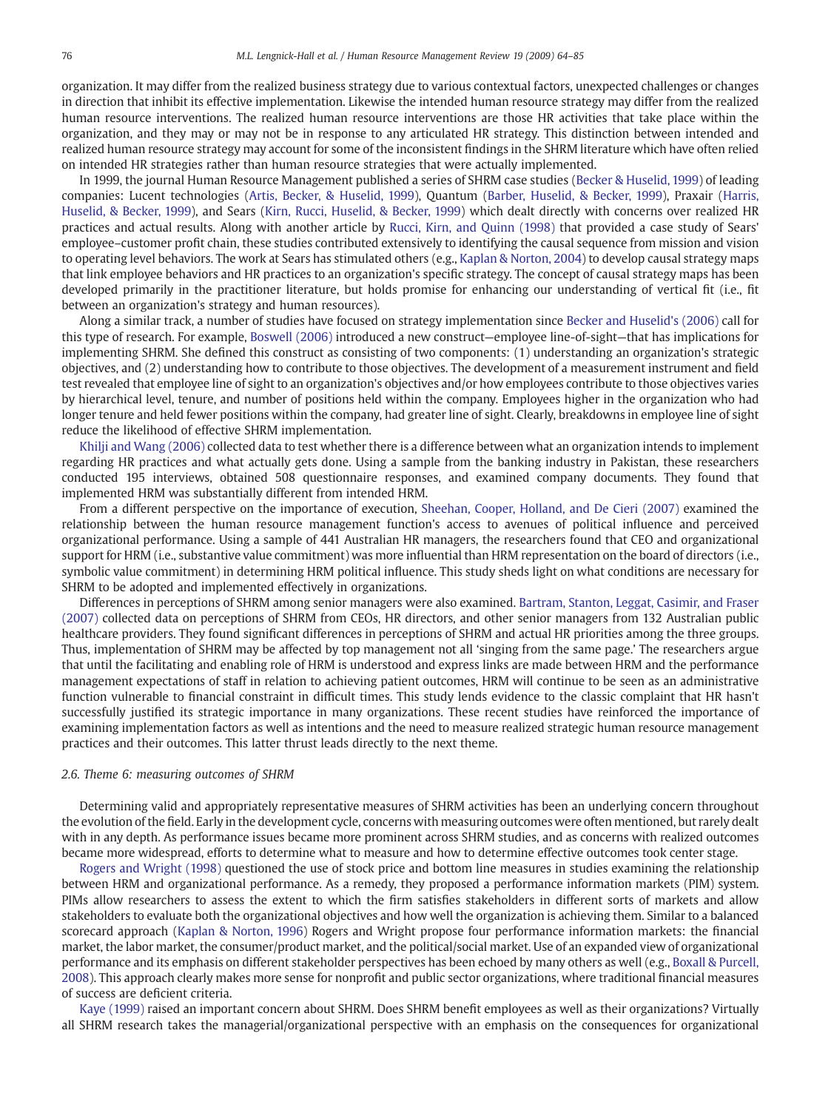organization. It may differ from the realized business strategy due to various contextual factors, unexpected challenges or changes in direction that inhibit its effective implementation. Likewise the intended human resource strategy may differ from the realized human resource interventions. The realized human resource interventions are those HR activities that take place within the organization, and they may or may not be in response to any articulated HR strategy. This distinction between intended and realized human resource strategy may account for some of the inconsistent findings in the SHRM literature which have often relied on intended HR strategies rather than human resource strategies that were actually implemented.

In 1999, the journal Human Resource Management published a series of SHRM case studies [\(Becker & Huselid, 1999](#page-18-0)) of leading companies: Lucent technologies ([Artis, Becker, & Huselid, 1999](#page-18-0)), Quantum [\(Barber, Huselid, & Becker, 1999\)](#page-18-0), Praxair [\(Harris,](#page-19-0) [Huselid, & Becker, 1999\)](#page-19-0), and Sears [\(Kirn, Rucci, Huselid, & Becker, 1999](#page-19-0)) which dealt directly with concerns over realized HR practices and actual results. Along with another article by [Rucci, Kirn, and Quinn \(1998\)](#page-20-0) that provided a case study of Sears' employee–customer profit chain, these studies contributed extensively to identifying the causal sequence from mission and vision to operating level behaviors. The work at Sears has stimulated others (e.g., [Kaplan & Norton, 2004\)](#page-19-0) to develop causal strategy maps that link employee behaviors and HR practices to an organization's specific strategy. The concept of causal strategy maps has been developed primarily in the practitioner literature, but holds promise for enhancing our understanding of vertical fit (i.e., fit between an organization's strategy and human resources).

Along a similar track, a number of studies have focused on strategy implementation since [Becker and Huselid's \(2006\)](#page-18-0) call for this type of research. For example, [Boswell \(2006\)](#page-18-0) introduced a new construct—employee line-of-sight—that has implications for implementing SHRM. She defined this construct as consisting of two components: (1) understanding an organization's strategic objectives, and (2) understanding how to contribute to those objectives. The development of a measurement instrument and field test revealed that employee line of sight to an organization's objectives and/or how employees contribute to those objectives varies by hierarchical level, tenure, and number of positions held within the company. Employees higher in the organization who had longer tenure and held fewer positions within the company, had greater line of sight. Clearly, breakdowns in employee line of sight reduce the likelihood of effective SHRM implementation.

[Khilji and Wang \(2006\)](#page-19-0) collected data to test whether there is a difference between what an organization intends to implement regarding HR practices and what actually gets done. Using a sample from the banking industry in Pakistan, these researchers conducted 195 interviews, obtained 508 questionnaire responses, and examined company documents. They found that implemented HRM was substantially different from intended HRM.

From a different perspective on the importance of execution, [Sheehan, Cooper, Holland, and De Cieri \(2007\)](#page-20-0) examined the relationship between the human resource management function's access to avenues of political influence and perceived organizational performance. Using a sample of 441 Australian HR managers, the researchers found that CEO and organizational support for HRM (i.e., substantive value commitment) was more influential than HRM representation on the board of directors (i.e., symbolic value commitment) in determining HRM political influence. This study sheds light on what conditions are necessary for SHRM to be adopted and implemented effectively in organizations.

Differences in perceptions of SHRM among senior managers were also examined. [Bartram, Stanton, Leggat, Casimir, and Fraser](#page-18-0) [\(2007\)](#page-18-0) collected data on perceptions of SHRM from CEOs, HR directors, and other senior managers from 132 Australian public healthcare providers. They found significant differences in perceptions of SHRM and actual HR priorities among the three groups. Thus, implementation of SHRM may be affected by top management not all 'singing from the same page.' The researchers argue that until the facilitating and enabling role of HRM is understood and express links are made between HRM and the performance management expectations of staff in relation to achieving patient outcomes, HRM will continue to be seen as an administrative function vulnerable to financial constraint in difficult times. This study lends evidence to the classic complaint that HR hasn't successfully justified its strategic importance in many organizations. These recent studies have reinforced the importance of examining implementation factors as well as intentions and the need to measure realized strategic human resource management practices and their outcomes. This latter thrust leads directly to the next theme.

#### 2.6. Theme 6: measuring outcomes of SHRM

Determining valid and appropriately representative measures of SHRM activities has been an underlying concern throughout the evolution of the field. Early in the development cycle, concerns with measuring outcomes were often mentioned, but rarely dealt with in any depth. As performance issues became more prominent across SHRM studies, and as concerns with realized outcomes became more widespread, efforts to determine what to measure and how to determine effective outcomes took center stage.

[Rogers and Wright \(1998\)](#page-20-0) questioned the use of stock price and bottom line measures in studies examining the relationship between HRM and organizational performance. As a remedy, they proposed a performance information markets (PIM) system. PIMs allow researchers to assess the extent to which the firm satisfies stakeholders in different sorts of markets and allow stakeholders to evaluate both the organizational objectives and how well the organization is achieving them. Similar to a balanced scorecard approach ([Kaplan & Norton, 1996\)](#page-19-0) Rogers and Wright propose four performance information markets: the financial market, the labor market, the consumer/product market, and the political/social market. Use of an expanded view of organizational performance and its emphasis on different stakeholder perspectives has been echoed by many others as well (e.g., [Boxall & Purcell,](#page-18-0) [2008\)](#page-18-0). This approach clearly makes more sense for nonprofit and public sector organizations, where traditional financial measures of success are deficient criteria.

[Kaye \(1999\)](#page-19-0) raised an important concern about SHRM. Does SHRM benefit employees as well as their organizations? Virtually all SHRM research takes the managerial/organizational perspective with an emphasis on the consequences for organizational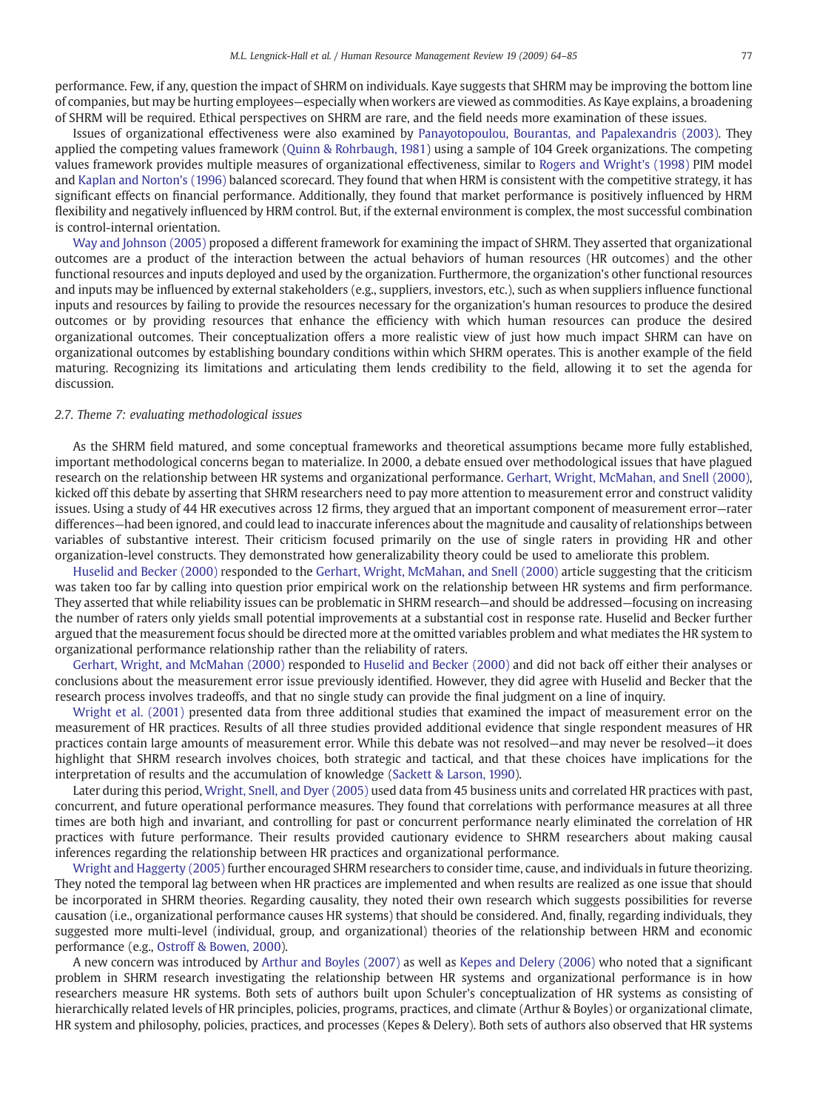performance. Few, if any, question the impact of SHRM on individuals. Kaye suggests that SHRM may be improving the bottom line of companies, but may be hurting employees—especially when workers are viewed as commodities. As Kaye explains, a broadening of SHRM will be required. Ethical perspectives on SHRM are rare, and the field needs more examination of these issues.

Issues of organizational effectiveness were also examined by [Panayotopoulou, Bourantas, and Papalexandris \(2003\)](#page-20-0). They applied the competing values framework ([Quinn & Rohrbaugh, 1981](#page-20-0)) using a sample of 104 Greek organizations. The competing values framework provides multiple measures of organizational effectiveness, similar to [Rogers and Wright's \(1998\)](#page-20-0) PIM model and [Kaplan and Norton's \(1996\)](#page-19-0) balanced scorecard. They found that when HRM is consistent with the competitive strategy, it has significant effects on financial performance. Additionally, they found that market performance is positively influenced by HRM flexibility and negatively influenced by HRM control. But, if the external environment is complex, the most successful combination is control-internal orientation.

[Way and Johnson \(2005\)](#page-21-0) proposed a different framework for examining the impact of SHRM. They asserted that organizational outcomes are a product of the interaction between the actual behaviors of human resources (HR outcomes) and the other functional resources and inputs deployed and used by the organization. Furthermore, the organization's other functional resources and inputs may be influenced by external stakeholders (e.g., suppliers, investors, etc.), such as when suppliers influence functional inputs and resources by failing to provide the resources necessary for the organization's human resources to produce the desired outcomes or by providing resources that enhance the efficiency with which human resources can produce the desired organizational outcomes. Their conceptualization offers a more realistic view of just how much impact SHRM can have on organizational outcomes by establishing boundary conditions within which SHRM operates. This is another example of the field maturing. Recognizing its limitations and articulating them lends credibility to the field, allowing it to set the agenda for discussion.

#### 2.7. Theme 7: evaluating methodological issues

As the SHRM field matured, and some conceptual frameworks and theoretical assumptions became more fully established, important methodological concerns began to materialize. In 2000, a debate ensued over methodological issues that have plagued research on the relationship between HR systems and organizational performance. [Gerhart, Wright, McMahan, and Snell \(2000\)](#page-19-0), kicked off this debate by asserting that SHRM researchers need to pay more attention to measurement error and construct validity issues. Using a study of 44 HR executives across 12 firms, they argued that an important component of measurement error—rater differences—had been ignored, and could lead to inaccurate inferences about the magnitude and causality of relationships between variables of substantive interest. Their criticism focused primarily on the use of single raters in providing HR and other organization-level constructs. They demonstrated how generalizability theory could be used to ameliorate this problem.

[Huselid and Becker \(2000\)](#page-19-0) responded to the [Gerhart, Wright, McMahan, and Snell \(2000\)](#page-19-0) article suggesting that the criticism was taken too far by calling into question prior empirical work on the relationship between HR systems and firm performance. They asserted that while reliability issues can be problematic in SHRM research—and should be addressed—focusing on increasing the number of raters only yields small potential improvements at a substantial cost in response rate. Huselid and Becker further argued that the measurement focus should be directed more at the omitted variables problem and what mediates the HR system to organizational performance relationship rather than the reliability of raters.

[Gerhart, Wright, and McMahan \(2000\)](#page-19-0) responded to [Huselid and Becker \(2000\)](#page-19-0) and did not back off either their analyses or conclusions about the measurement error issue previously identified. However, they did agree with Huselid and Becker that the research process involves tradeoffs, and that no single study can provide the final judgment on a line of inquiry.

[Wright et al. \(2001\)](#page-21-0) presented data from three additional studies that examined the impact of measurement error on the measurement of HR practices. Results of all three studies provided additional evidence that single respondent measures of HR practices contain large amounts of measurement error. While this debate was not resolved—and may never be resolved—it does highlight that SHRM research involves choices, both strategic and tactical, and that these choices have implications for the interpretation of results and the accumulation of knowledge ([Sackett & Larson, 1990](#page-20-0)).

Later during this period, [Wright, Snell, and Dyer \(2005\)](#page-21-0) used data from 45 business units and correlated HR practices with past, concurrent, and future operational performance measures. They found that correlations with performance measures at all three times are both high and invariant, and controlling for past or concurrent performance nearly eliminated the correlation of HR practices with future performance. Their results provided cautionary evidence to SHRM researchers about making causal inferences regarding the relationship between HR practices and organizational performance.

[Wright and Haggerty \(2005\)](#page-21-0) further encouraged SHRM researchers to consider time, cause, and individuals in future theorizing. They noted the temporal lag between when HR practices are implemented and when results are realized as one issue that should be incorporated in SHRM theories. Regarding causality, they noted their own research which suggests possibilities for reverse causation (i.e., organizational performance causes HR systems) that should be considered. And, finally, regarding individuals, they suggested more multi-level (individual, group, and organizational) theories of the relationship between HRM and economic performance (e.g., [Ostroff & Bowen, 2000\)](#page-20-0).

A new concern was introduced by [Arthur and Boyles \(2007\)](#page-18-0) as well as [Kepes and Delery \(2006\)](#page-19-0) who noted that a significant problem in SHRM research investigating the relationship between HR systems and organizational performance is in how researchers measure HR systems. Both sets of authors built upon Schuler's conceptualization of HR systems as consisting of hierarchically related levels of HR principles, policies, programs, practices, and climate (Arthur & Boyles) or organizational climate, HR system and philosophy, policies, practices, and processes (Kepes & Delery). Both sets of authors also observed that HR systems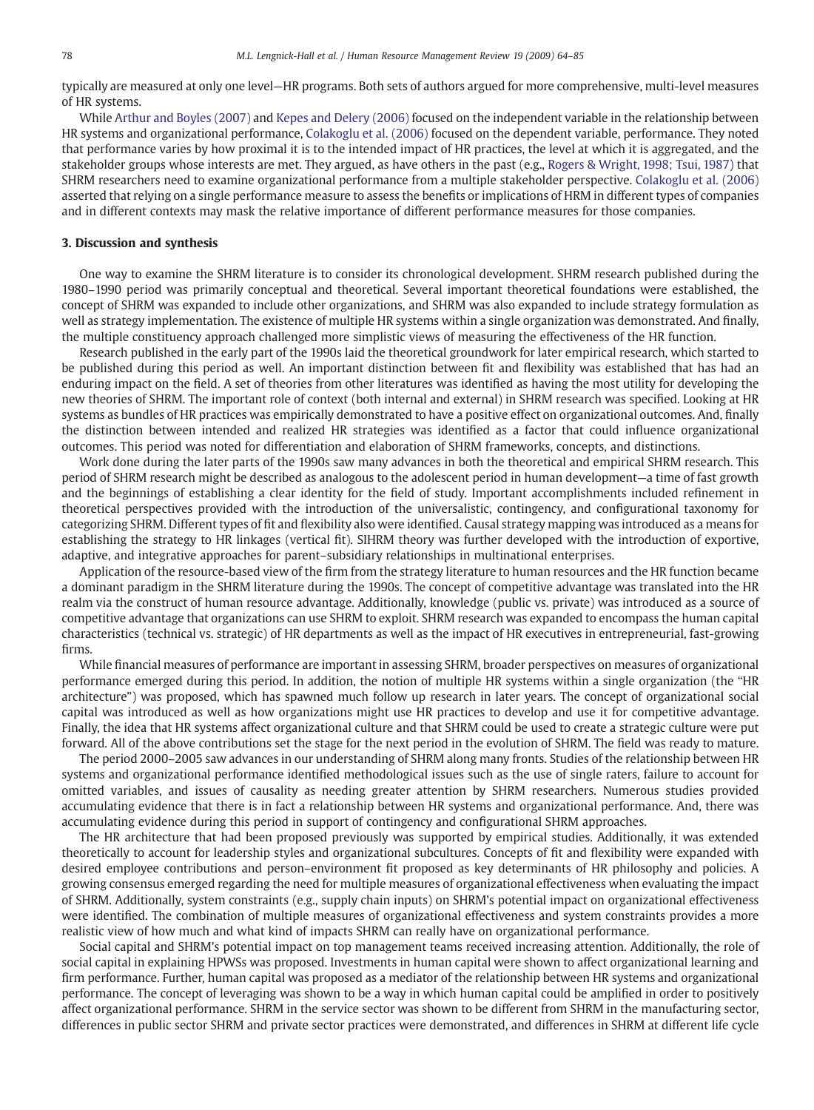typically are measured at only one level—HR programs. Both sets of authors argued for more comprehensive, multi-level measures of HR systems.

While [Arthur and Boyles \(2007\)](#page-18-0) and [Kepes and Delery \(2006\)](#page-19-0) focused on the independent variable in the relationship between HR systems and organizational performance, [Colakoglu et al. \(2006\)](#page-18-0) focused on the dependent variable, performance. They noted that performance varies by how proximal it is to the intended impact of HR practices, the level at which it is aggregated, and the stakeholder groups whose interests are met. They argued, as have others in the past (e.g., [Rogers & Wright, 1998; Tsui, 1987\)](#page-20-0) that SHRM researchers need to examine organizational performance from a multiple stakeholder perspective. [Colakoglu et al. \(2006\)](#page-18-0) asserted that relying on a single performance measure to assess the benefits or implications of HRM in different types of companies and in different contexts may mask the relative importance of different performance measures for those companies.

#### 3. Discussion and synthesis

One way to examine the SHRM literature is to consider its chronological development. SHRM research published during the 1980–1990 period was primarily conceptual and theoretical. Several important theoretical foundations were established, the concept of SHRM was expanded to include other organizations, and SHRM was also expanded to include strategy formulation as well as strategy implementation. The existence of multiple HR systems within a single organization was demonstrated. And finally, the multiple constituency approach challenged more simplistic views of measuring the effectiveness of the HR function.

Research published in the early part of the 1990s laid the theoretical groundwork for later empirical research, which started to be published during this period as well. An important distinction between fit and flexibility was established that has had an enduring impact on the field. A set of theories from other literatures was identified as having the most utility for developing the new theories of SHRM. The important role of context (both internal and external) in SHRM research was specified. Looking at HR systems as bundles of HR practices was empirically demonstrated to have a positive effect on organizational outcomes. And, finally the distinction between intended and realized HR strategies was identified as a factor that could influence organizational outcomes. This period was noted for differentiation and elaboration of SHRM frameworks, concepts, and distinctions.

Work done during the later parts of the 1990s saw many advances in both the theoretical and empirical SHRM research. This period of SHRM research might be described as analogous to the adolescent period in human development—a time of fast growth and the beginnings of establishing a clear identity for the field of study. Important accomplishments included refinement in theoretical perspectives provided with the introduction of the universalistic, contingency, and configurational taxonomy for categorizing SHRM. Different types of fit and flexibility also were identified. Causal strategy mapping was introduced as a means for establishing the strategy to HR linkages (vertical fit). SIHRM theory was further developed with the introduction of exportive, adaptive, and integrative approaches for parent–subsidiary relationships in multinational enterprises.

Application of the resource-based view of the firm from the strategy literature to human resources and the HR function became a dominant paradigm in the SHRM literature during the 1990s. The concept of competitive advantage was translated into the HR realm via the construct of human resource advantage. Additionally, knowledge (public vs. private) was introduced as a source of competitive advantage that organizations can use SHRM to exploit. SHRM research was expanded to encompass the human capital characteristics (technical vs. strategic) of HR departments as well as the impact of HR executives in entrepreneurial, fast-growing firms.

While financial measures of performance are important in assessing SHRM, broader perspectives on measures of organizational performance emerged during this period. In addition, the notion of multiple HR systems within a single organization (the "HR architecture") was proposed, which has spawned much follow up research in later years. The concept of organizational social capital was introduced as well as how organizations might use HR practices to develop and use it for competitive advantage. Finally, the idea that HR systems affect organizational culture and that SHRM could be used to create a strategic culture were put forward. All of the above contributions set the stage for the next period in the evolution of SHRM. The field was ready to mature.

The period 2000–2005 saw advances in our understanding of SHRM along many fronts. Studies of the relationship between HR systems and organizational performance identified methodological issues such as the use of single raters, failure to account for omitted variables, and issues of causality as needing greater attention by SHRM researchers. Numerous studies provided accumulating evidence that there is in fact a relationship between HR systems and organizational performance. And, there was accumulating evidence during this period in support of contingency and configurational SHRM approaches.

The HR architecture that had been proposed previously was supported by empirical studies. Additionally, it was extended theoretically to account for leadership styles and organizational subcultures. Concepts of fit and flexibility were expanded with desired employee contributions and person–environment fit proposed as key determinants of HR philosophy and policies. A growing consensus emerged regarding the need for multiple measures of organizational effectiveness when evaluating the impact of SHRM. Additionally, system constraints (e.g., supply chain inputs) on SHRM's potential impact on organizational effectiveness were identified. The combination of multiple measures of organizational effectiveness and system constraints provides a more realistic view of how much and what kind of impacts SHRM can really have on organizational performance.

Social capital and SHRM's potential impact on top management teams received increasing attention. Additionally, the role of social capital in explaining HPWSs was proposed. Investments in human capital were shown to affect organizational learning and firm performance. Further, human capital was proposed as a mediator of the relationship between HR systems and organizational performance. The concept of leveraging was shown to be a way in which human capital could be amplified in order to positively affect organizational performance. SHRM in the service sector was shown to be different from SHRM in the manufacturing sector, differences in public sector SHRM and private sector practices were demonstrated, and differences in SHRM at different life cycle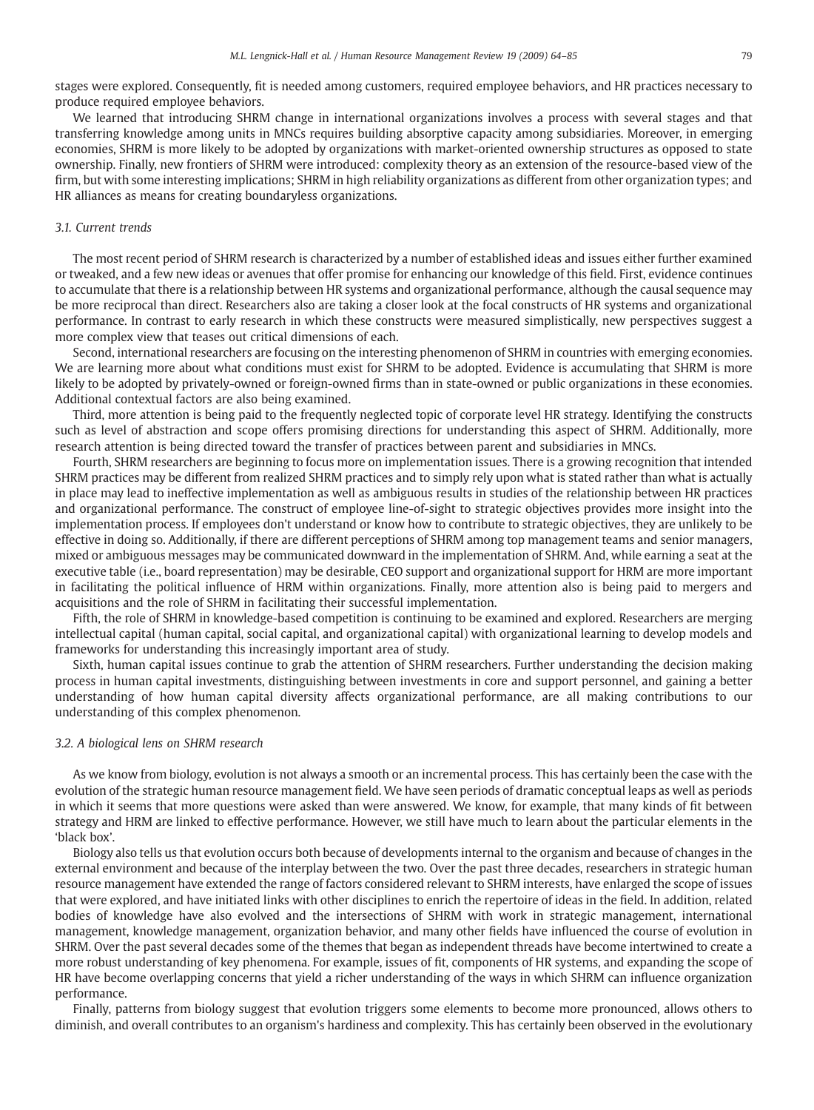stages were explored. Consequently, fit is needed among customers, required employee behaviors, and HR practices necessary to produce required employee behaviors.

We learned that introducing SHRM change in international organizations involves a process with several stages and that transferring knowledge among units in MNCs requires building absorptive capacity among subsidiaries. Moreover, in emerging economies, SHRM is more likely to be adopted by organizations with market-oriented ownership structures as opposed to state ownership. Finally, new frontiers of SHRM were introduced: complexity theory as an extension of the resource-based view of the firm, but with some interesting implications; SHRM in high reliability organizations as different from other organization types; and HR alliances as means for creating boundaryless organizations.

#### 3.1. Current trends

The most recent period of SHRM research is characterized by a number of established ideas and issues either further examined or tweaked, and a few new ideas or avenues that offer promise for enhancing our knowledge of this field. First, evidence continues to accumulate that there is a relationship between HR systems and organizational performance, although the causal sequence may be more reciprocal than direct. Researchers also are taking a closer look at the focal constructs of HR systems and organizational performance. In contrast to early research in which these constructs were measured simplistically, new perspectives suggest a more complex view that teases out critical dimensions of each.

Second, international researchers are focusing on the interesting phenomenon of SHRM in countries with emerging economies. We are learning more about what conditions must exist for SHRM to be adopted. Evidence is accumulating that SHRM is more likely to be adopted by privately-owned or foreign-owned firms than in state-owned or public organizations in these economies. Additional contextual factors are also being examined.

Third, more attention is being paid to the frequently neglected topic of corporate level HR strategy. Identifying the constructs such as level of abstraction and scope offers promising directions for understanding this aspect of SHRM. Additionally, more research attention is being directed toward the transfer of practices between parent and subsidiaries in MNCs.

Fourth, SHRM researchers are beginning to focus more on implementation issues. There is a growing recognition that intended SHRM practices may be different from realized SHRM practices and to simply rely upon what is stated rather than what is actually in place may lead to ineffective implementation as well as ambiguous results in studies of the relationship between HR practices and organizational performance. The construct of employee line-of-sight to strategic objectives provides more insight into the implementation process. If employees don't understand or know how to contribute to strategic objectives, they are unlikely to be effective in doing so. Additionally, if there are different perceptions of SHRM among top management teams and senior managers, mixed or ambiguous messages may be communicated downward in the implementation of SHRM. And, while earning a seat at the executive table (i.e., board representation) may be desirable, CEO support and organizational support for HRM are more important in facilitating the political influence of HRM within organizations. Finally, more attention also is being paid to mergers and acquisitions and the role of SHRM in facilitating their successful implementation.

Fifth, the role of SHRM in knowledge-based competition is continuing to be examined and explored. Researchers are merging intellectual capital (human capital, social capital, and organizational capital) with organizational learning to develop models and frameworks for understanding this increasingly important area of study.

Sixth, human capital issues continue to grab the attention of SHRM researchers. Further understanding the decision making process in human capital investments, distinguishing between investments in core and support personnel, and gaining a better understanding of how human capital diversity affects organizational performance, are all making contributions to our understanding of this complex phenomenon.

#### 3.2. A biological lens on SHRM research

As we know from biology, evolution is not always a smooth or an incremental process. This has certainly been the case with the evolution of the strategic human resource management field. We have seen periods of dramatic conceptual leaps as well as periods in which it seems that more questions were asked than were answered. We know, for example, that many kinds of fit between strategy and HRM are linked to effective performance. However, we still have much to learn about the particular elements in the 'black box'.

Biology also tells us that evolution occurs both because of developments internal to the organism and because of changes in the external environment and because of the interplay between the two. Over the past three decades, researchers in strategic human resource management have extended the range of factors considered relevant to SHRM interests, have enlarged the scope of issues that were explored, and have initiated links with other disciplines to enrich the repertoire of ideas in the field. In addition, related bodies of knowledge have also evolved and the intersections of SHRM with work in strategic management, international management, knowledge management, organization behavior, and many other fields have influenced the course of evolution in SHRM. Over the past several decades some of the themes that began as independent threads have become intertwined to create a more robust understanding of key phenomena. For example, issues of fit, components of HR systems, and expanding the scope of HR have become overlapping concerns that yield a richer understanding of the ways in which SHRM can influence organization performance.

Finally, patterns from biology suggest that evolution triggers some elements to become more pronounced, allows others to diminish, and overall contributes to an organism's hardiness and complexity. This has certainly been observed in the evolutionary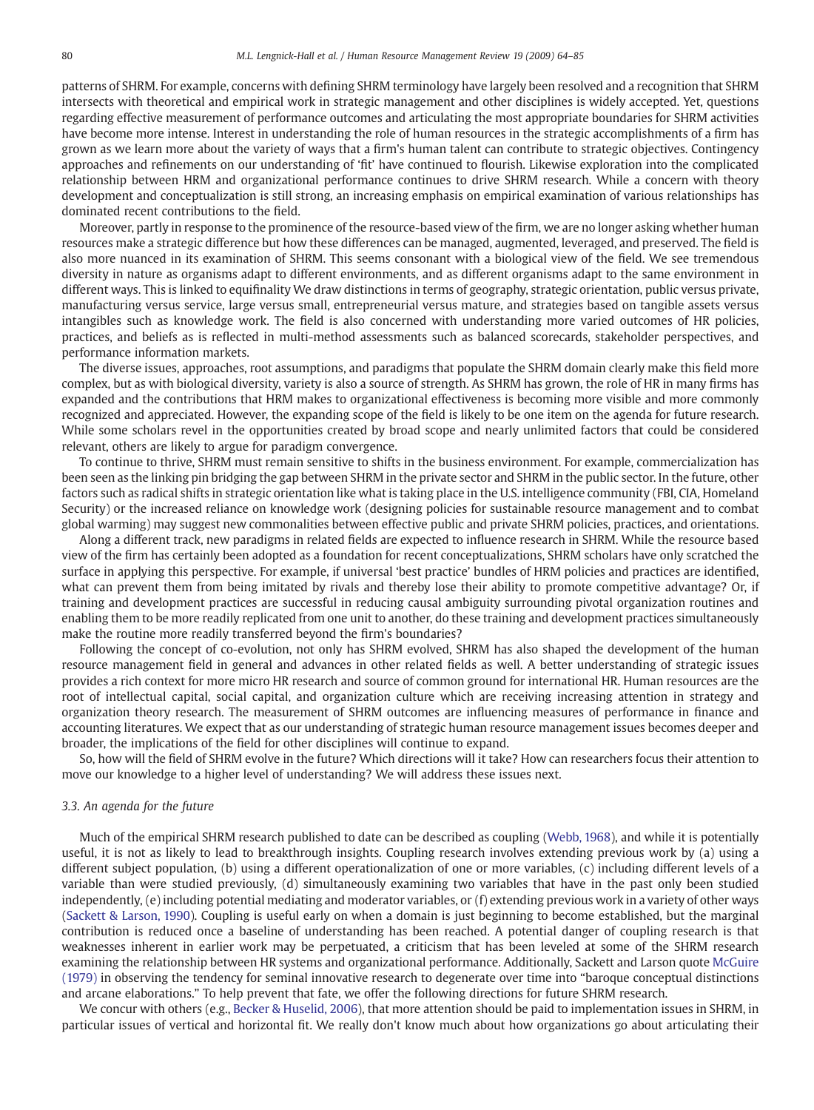patterns of SHRM. For example, concerns with defining SHRM terminology have largely been resolved and a recognition that SHRM intersects with theoretical and empirical work in strategic management and other disciplines is widely accepted. Yet, questions regarding effective measurement of performance outcomes and articulating the most appropriate boundaries for SHRM activities have become more intense. Interest in understanding the role of human resources in the strategic accomplishments of a firm has grown as we learn more about the variety of ways that a firm's human talent can contribute to strategic objectives. Contingency approaches and refinements on our understanding of 'fit' have continued to flourish. Likewise exploration into the complicated relationship between HRM and organizational performance continues to drive SHRM research. While a concern with theory development and conceptualization is still strong, an increasing emphasis on empirical examination of various relationships has dominated recent contributions to the field.

Moreover, partly in response to the prominence of the resource-based view of the firm, we are no longer asking whether human resources make a strategic difference but how these differences can be managed, augmented, leveraged, and preserved. The field is also more nuanced in its examination of SHRM. This seems consonant with a biological view of the field. We see tremendous diversity in nature as organisms adapt to different environments, and as different organisms adapt to the same environment in different ways. This is linked to equifinality We draw distinctions in terms of geography, strategic orientation, public versus private, manufacturing versus service, large versus small, entrepreneurial versus mature, and strategies based on tangible assets versus intangibles such as knowledge work. The field is also concerned with understanding more varied outcomes of HR policies, practices, and beliefs as is reflected in multi-method assessments such as balanced scorecards, stakeholder perspectives, and performance information markets.

The diverse issues, approaches, root assumptions, and paradigms that populate the SHRM domain clearly make this field more complex, but as with biological diversity, variety is also a source of strength. As SHRM has grown, the role of HR in many firms has expanded and the contributions that HRM makes to organizational effectiveness is becoming more visible and more commonly recognized and appreciated. However, the expanding scope of the field is likely to be one item on the agenda for future research. While some scholars revel in the opportunities created by broad scope and nearly unlimited factors that could be considered relevant, others are likely to argue for paradigm convergence.

To continue to thrive, SHRM must remain sensitive to shifts in the business environment. For example, commercialization has been seen as the linking pin bridging the gap between SHRM in the private sector and SHRM in the public sector. In the future, other factors such as radical shifts in strategic orientation like what is taking place in the U.S. intelligence community (FBI, CIA, Homeland Security) or the increased reliance on knowledge work (designing policies for sustainable resource management and to combat global warming) may suggest new commonalities between effective public and private SHRM policies, practices, and orientations.

Along a different track, new paradigms in related fields are expected to influence research in SHRM. While the resource based view of the firm has certainly been adopted as a foundation for recent conceptualizations, SHRM scholars have only scratched the surface in applying this perspective. For example, if universal 'best practice' bundles of HRM policies and practices are identified, what can prevent them from being imitated by rivals and thereby lose their ability to promote competitive advantage? Or, if training and development practices are successful in reducing causal ambiguity surrounding pivotal organization routines and enabling them to be more readily replicated from one unit to another, do these training and development practices simultaneously make the routine more readily transferred beyond the firm's boundaries?

Following the concept of co-evolution, not only has SHRM evolved, SHRM has also shaped the development of the human resource management field in general and advances in other related fields as well. A better understanding of strategic issues provides a rich context for more micro HR research and source of common ground for international HR. Human resources are the root of intellectual capital, social capital, and organization culture which are receiving increasing attention in strategy and organization theory research. The measurement of SHRM outcomes are influencing measures of performance in finance and accounting literatures. We expect that as our understanding of strategic human resource management issues becomes deeper and broader, the implications of the field for other disciplines will continue to expand.

So, how will the field of SHRM evolve in the future? Which directions will it take? How can researchers focus their attention to move our knowledge to a higher level of understanding? We will address these issues next.

#### 3.3. An agenda for the future

Much of the empirical SHRM research published to date can be described as coupling [\(Webb, 1968](#page-21-0)), and while it is potentially useful, it is not as likely to lead to breakthrough insights. Coupling research involves extending previous work by (a) using a different subject population, (b) using a different operationalization of one or more variables, (c) including different levels of a variable than were studied previously, (d) simultaneously examining two variables that have in the past only been studied independently, (e) including potential mediating and moderator variables, or (f) extending previous work in a variety of other ways [\(Sackett & Larson, 1990](#page-20-0)). Coupling is useful early on when a domain is just beginning to become established, but the marginal contribution is reduced once a baseline of understanding has been reached. A potential danger of coupling research is that weaknesses inherent in earlier work may be perpetuated, a criticism that has been leveled at some of the SHRM research examining the relationship between HR systems and organizational performance. Additionally, Sackett and Larson quote [McGuire](#page-20-0) [\(1979\)](#page-20-0) in observing the tendency for seminal innovative research to degenerate over time into "baroque conceptual distinctions and arcane elaborations." To help prevent that fate, we offer the following directions for future SHRM research.

We concur with others (e.g., [Becker & Huselid, 2006](#page-18-0)), that more attention should be paid to implementation issues in SHRM, in particular issues of vertical and horizontal fit. We really don't know much about how organizations go about articulating their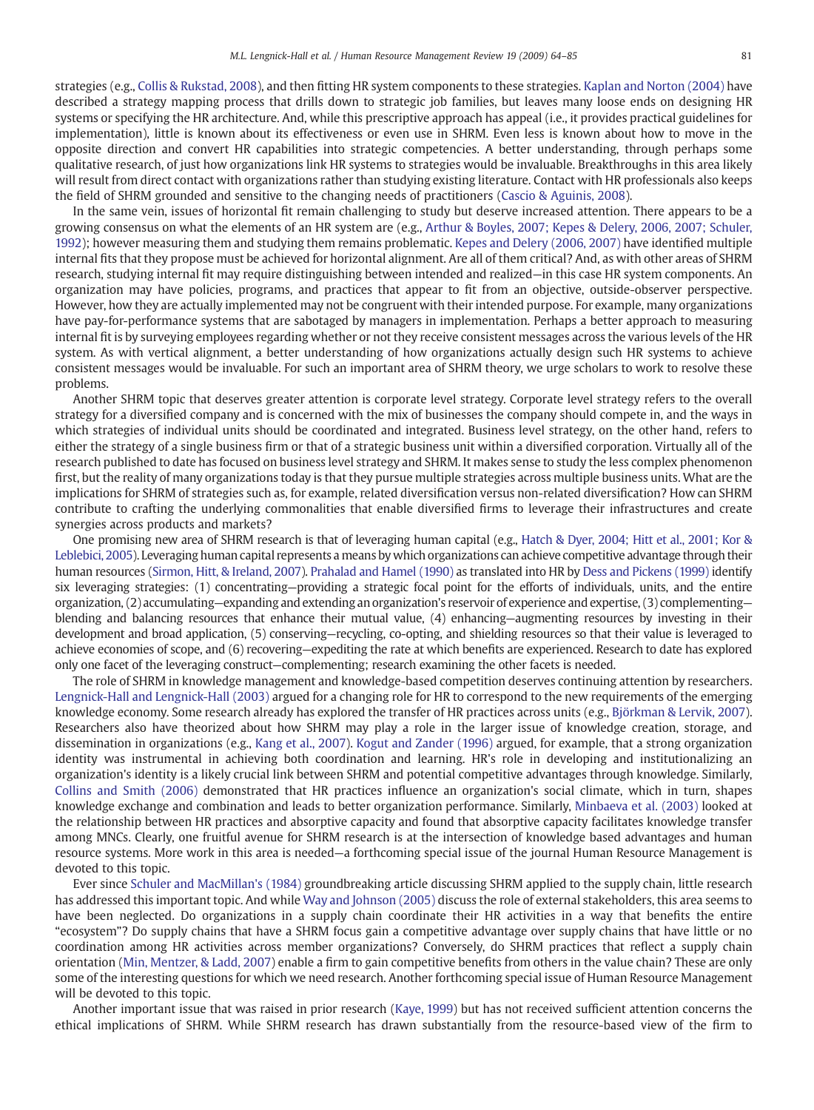strategies (e.g., [Collis & Rukstad, 2008\)](#page-18-0), and then fitting HR system components to these strategies. [Kaplan and Norton \(2004\)](#page-19-0) have described a strategy mapping process that drills down to strategic job families, but leaves many loose ends on designing HR systems or specifying the HR architecture. And, while this prescriptive approach has appeal (i.e., it provides practical guidelines for implementation), little is known about its effectiveness or even use in SHRM. Even less is known about how to move in the opposite direction and convert HR capabilities into strategic competencies. A better understanding, through perhaps some qualitative research, of just how organizations link HR systems to strategies would be invaluable. Breakthroughs in this area likely will result from direct contact with organizations rather than studying existing literature. Contact with HR professionals also keeps the field of SHRM grounded and sensitive to the changing needs of practitioners [\(Cascio & Aguinis, 2008](#page-18-0)).

In the same vein, issues of horizontal fit remain challenging to study but deserve increased attention. There appears to be a growing consensus on what the elements of an HR system are (e.g., [Arthur & Boyles, 2007; Kepes & Delery, 2006, 2007; Schuler,](#page-18-0) [1992\)](#page-18-0); however measuring them and studying them remains problematic. [Kepes and Delery \(2006, 2007\)](#page-19-0) have identified multiple internal fits that they propose must be achieved for horizontal alignment. Are all of them critical? And, as with other areas of SHRM research, studying internal fit may require distinguishing between intended and realized—in this case HR system components. An organization may have policies, programs, and practices that appear to fit from an objective, outside-observer perspective. However, how they are actually implemented may not be congruent with their intended purpose. For example, many organizations have pay-for-performance systems that are sabotaged by managers in implementation. Perhaps a better approach to measuring internal fit is by surveying employees regarding whether or not they receive consistent messages across the various levels of the HR system. As with vertical alignment, a better understanding of how organizations actually design such HR systems to achieve consistent messages would be invaluable. For such an important area of SHRM theory, we urge scholars to work to resolve these problems.

Another SHRM topic that deserves greater attention is corporate level strategy. Corporate level strategy refers to the overall strategy for a diversified company and is concerned with the mix of businesses the company should compete in, and the ways in which strategies of individual units should be coordinated and integrated. Business level strategy, on the other hand, refers to either the strategy of a single business firm or that of a strategic business unit within a diversified corporation. Virtually all of the research published to date has focused on business level strategy and SHRM. It makes sense to study the less complex phenomenon first, but the reality of many organizations today is that they pursue multiple strategies across multiple business units. What are the implications for SHRM of strategies such as, for example, related diversification versus non-related diversification? How can SHRM contribute to crafting the underlying commonalities that enable diversified firms to leverage their infrastructures and create synergies across products and markets?

One promising new area of SHRM research is that of leveraging human capital (e.g., [Hatch & Dyer, 2004; Hitt et al., 2001; Kor &](#page-19-0) [Leblebici, 2005\)](#page-19-0). Leveraging human capital represents a means by which organizations can achieve competitive advantage through their human resources [\(Sirmon, Hitt, & Ireland, 2007](#page-20-0)). [Prahalad and Hamel \(1990\)](#page-20-0) as translated into HR by [Dess and Pickens \(1999\)](#page-19-0) identify six leveraging strategies: (1) concentrating—providing a strategic focal point for the efforts of individuals, units, and the entire organization, (2) accumulating—expanding and extending an organization's reservoir of experience and expertise, (3) complementing blending and balancing resources that enhance their mutual value, (4) enhancing—augmenting resources by investing in their development and broad application, (5) conserving—recycling, co-opting, and shielding resources so that their value is leveraged to achieve economies of scope, and (6) recovering—expediting the rate at which benefits are experienced. Research to date has explored only one facet of the leveraging construct—complementing; research examining the other facets is needed.

The role of SHRM in knowledge management and knowledge-based competition deserves continuing attention by researchers. [Lengnick-Hall and Lengnick-Hall \(2003\)](#page-19-0) argued for a changing role for HR to correspond to the new requirements of the emerging knowledge economy. Some research already has explored the transfer of HR practices across units (e.g., [Björkman & Lervik, 2007](#page-18-0)). Researchers also have theorized about how SHRM may play a role in the larger issue of knowledge creation, storage, and dissemination in organizations (e.g., [Kang et al., 2007](#page-19-0)). [Kogut and Zander \(1996\)](#page-19-0) argued, for example, that a strong organization identity was instrumental in achieving both coordination and learning. HR's role in developing and institutionalizing an organization's identity is a likely crucial link between SHRM and potential competitive advantages through knowledge. Similarly, [Collins and Smith \(2006\)](#page-18-0) demonstrated that HR practices influence an organization's social climate, which in turn, shapes knowledge exchange and combination and leads to better organization performance. Similarly, [Minbaeva et al. \(2003\)](#page-20-0) looked at the relationship between HR practices and absorptive capacity and found that absorptive capacity facilitates knowledge transfer among MNCs. Clearly, one fruitful avenue for SHRM research is at the intersection of knowledge based advantages and human resource systems. More work in this area is needed—a forthcoming special issue of the journal Human Resource Management is devoted to this topic.

Ever since [Schuler and MacMillan's \(1984\)](#page-20-0) groundbreaking article discussing SHRM applied to the supply chain, little research has addressed this important topic. And while [Way and Johnson \(2005\)](#page-21-0) discuss the role of external stakeholders, this area seems to have been neglected. Do organizations in a supply chain coordinate their HR activities in a way that benefits the entire "ecosystem"? Do supply chains that have a SHRM focus gain a competitive advantage over supply chains that have little or no coordination among HR activities across member organizations? Conversely, do SHRM practices that reflect a supply chain orientation [\(Min, Mentzer, & Ladd, 2007](#page-20-0)) enable a firm to gain competitive benefits from others in the value chain? These are only some of the interesting questions for which we need research. Another forthcoming special issue of Human Resource Management will be devoted to this topic.

Another important issue that was raised in prior research [\(Kaye, 1999\)](#page-19-0) but has not received sufficient attention concerns the ethical implications of SHRM. While SHRM research has drawn substantially from the resource-based view of the firm to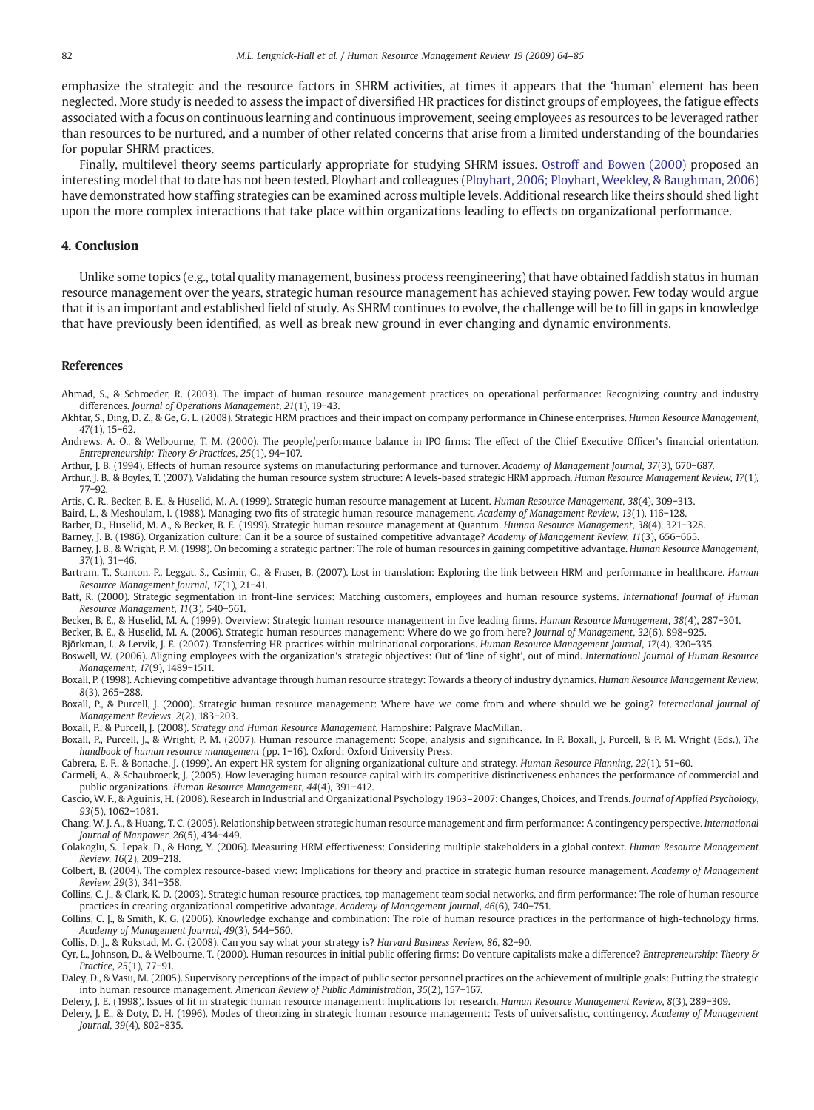<span id="page-18-0"></span>emphasize the strategic and the resource factors in SHRM activities, at times it appears that the 'human' element has been neglected. More study is needed to assess the impact of diversified HR practices for distinct groups of employees, the fatigue effects associated with a focus on continuous learning and continuous improvement, seeing employees as resources to be leveraged rather than resources to be nurtured, and a number of other related concerns that arise from a limited understanding of the boundaries for popular SHRM practices.

Finally, multilevel theory seems particularly appropriate for studying SHRM issues. [Ostroff and Bowen \(2000\)](#page-20-0) proposed an interesting model that to date has not been tested. Ployhart and colleagues ([Ployhart, 2006; Ployhart, Weekley, & Baughman, 2006\)](#page-20-0) have demonstrated how staffing strategies can be examined across multiple levels. Additional research like theirs should shed light upon the more complex interactions that take place within organizations leading to effects on organizational performance.

#### 4. Conclusion

Unlike some topics (e.g., total quality management, business process reengineering) that have obtained faddish status in human resource management over the years, strategic human resource management has achieved staying power. Few today would argue that it is an important and established field of study. As SHRM continues to evolve, the challenge will be to fill in gaps in knowledge that have previously been identified, as well as break new ground in ever changing and dynamic environments.

#### References

Ahmad, S., & Schroeder, R. (2003). The impact of human resource management practices on operational performance: Recognizing country and industry differences. Journal of Operations Management, 21(1), 19−43.

Akhtar, S., Ding, D. Z., & Ge, G. L. (2008). Strategic HRM practices and their impact on company performance in Chinese enterprises. Human Resource Management, 47(1), 15−62.

Andrews, A. O., & Welbourne, T. M. (2000). The people/performance balance in IPO firms: The effect of the Chief Executive Officer's financial orientation. Entrepreneurship: Theory & Practices, 25(1), 94−107.

Arthur, J. B. (1994). Effects of human resource systems on manufacturing performance and turnover. Academy of Management Journal, 37(3), 670−687.

Arthur, J. B., & Boyles, T. (2007). Validating the human resource system structure: A levels-based strategic HRM approach. Human Resource Management Review, 17(1), 77−92.

Artis, C. R., Becker, B. E., & Huselid, M. A. (1999). Strategic human resource management at Lucent. Human Resource Management, 38(4), 309−313.

Baird, L., & Meshoulam, I. (1988). Managing two fits of strategic human resource management. Academy of Management Review, 13(1), 116−128.

Barber, D., Huselid, M. A., & Becker, B. E. (1999). Strategic human resource management at Quantum. Human Resource Management, 38(4), 321−328.

Barney, J. B. (1986). Organization culture: Can it be a source of sustained competitive advantage? Academy of Management Review, 11(3), 656−665.

Barney, J. B., & Wright, P. M. (1998). On becoming a strategic partner: The role of human resources in gaining competitive advantage. Human Resource Management, 37(1), 31−46.

Bartram, T., Stanton, P., Leggat, S., Casimir, G., & Fraser, B. (2007). Lost in translation: Exploring the link between HRM and performance in healthcare. Human Resource Management Journal, 17(1), 21−41.

Batt, R. (2000). Strategic segmentation in front-line services: Matching customers, employees and human resource systems. International Journal of Human Resource Management, 11(3), 540−561.

Becker, B. E., & Huselid, M. A. (1999). Overview: Strategic human resource management in five leading firms. Human Resource Management, 38(4), 287−301.

Becker, B. E., & Huselid, M. A. (2006). Strategic human resources management: Where do we go from here? Journal of Management, 32(6), 898−925.

Björkman, I., & Lervik, J. E. (2007). Transferring HR practices within multinational corporations. Human Resource Management Journal, 17(4), 320−335. Boswell, W. (2006). Aligning employees with the organization's strategic objectives: Out of 'line of sight', out of mind. International Journal of Human Resource Management, 17(9), 1489−1511.

Boxall, P. (1998). Achieving competitive advantage through human resource strategy: Towards a theory of industry dynamics. Human Resource Management Review, 8(3), 265−288.

Boxall, P., & Purcell, J. (2000). Strategic human resource management: Where have we come from and where should we be going? International Journal of Management Reviews, 2(2), 183−203.

Boxall, P., & Purcell, J. (2008). Strategy and Human Resource Management. Hampshire: Palgrave MacMillan.

Boxall, P., Purcell, J., & Wright, P. M. (2007). Human resource management: Scope, analysis and significance. In P. Boxall, J. Purcell, & P. M. Wright (Eds.), The handbook of human resource management (pp. 1−16). Oxford: Oxford University Press.

Cabrera, E. F., & Bonache, J. (1999). An expert HR system for aligning organizational culture and strategy. Human Resource Planning, 22(1), 51−60.

Carmeli, A., & Schaubroeck, J. (2005). How leveraging human resource capital with its competitive distinctiveness enhances the performance of commercial and public organizations. Human Resource Management, 44(4), 391−412.

Cascio, W. F., & Aguinis, H. (2008). Research in Industrial and Organizational Psychology 1963–2007: Changes, Choices, and Trends. Journal of Applied Psychology, 93(5), 1062−1081.

Chang, W. J. A., & Huang, T. C. (2005). Relationship between strategic human resource management and firm performance: A contingency perspective. International Journal of Manpower, 26(5), 434−449.

Colakoglu, S., Lepak, D., & Hong, Y. (2006). Measuring HRM effectiveness: Considering multiple stakeholders in a global context. Human Resource Management Review, 16(2), 209−218.

Colbert, B. (2004). The complex resource-based view: Implications for theory and practice in strategic human resource management. Academy of Management Review, 29(3), 341−358.

Collins, C. J., & Clark, K. D. (2003). Strategic human resource practices, top management team social networks, and firm performance: The role of human resource practices in creating organizational competitive advantage. Academy of Management Journal, 46(6), 740−751.

Collins, C. J., & Smith, K. G. (2006). Knowledge exchange and combination: The role of human resource practices in the performance of high-technology firms. Academy of Management Journal, 49(3), 544−560.

Collis, D. J., & Rukstad, M. G. (2008). Can you say what your strategy is? Harvard Business Review, 86, 82−90.

Cyr, L., Johnson, D., & Welbourne, T. (2000). Human resources in initial public offering firms: Do venture capitalists make a difference? Entrepreneurship: Theory & Practice, 25(1), 77−91.

Daley, D., & Vasu, M. (2005). Supervisory perceptions of the impact of public sector personnel practices on the achievement of multiple goals: Putting the strategic into human resource management. American Review of Public Administration, 35(2), 157−167.

Delery, J. E. (1998). Issues of fit in strategic human resource management: Implications for research. Human Resource Management Review, 8(3), 289−309.

Delery, J. E., & Doty, D. H. (1996). Modes of theorizing in strategic human resource management: Tests of universalistic, contingency. Academy of Management Journal, 39(4), 802−835.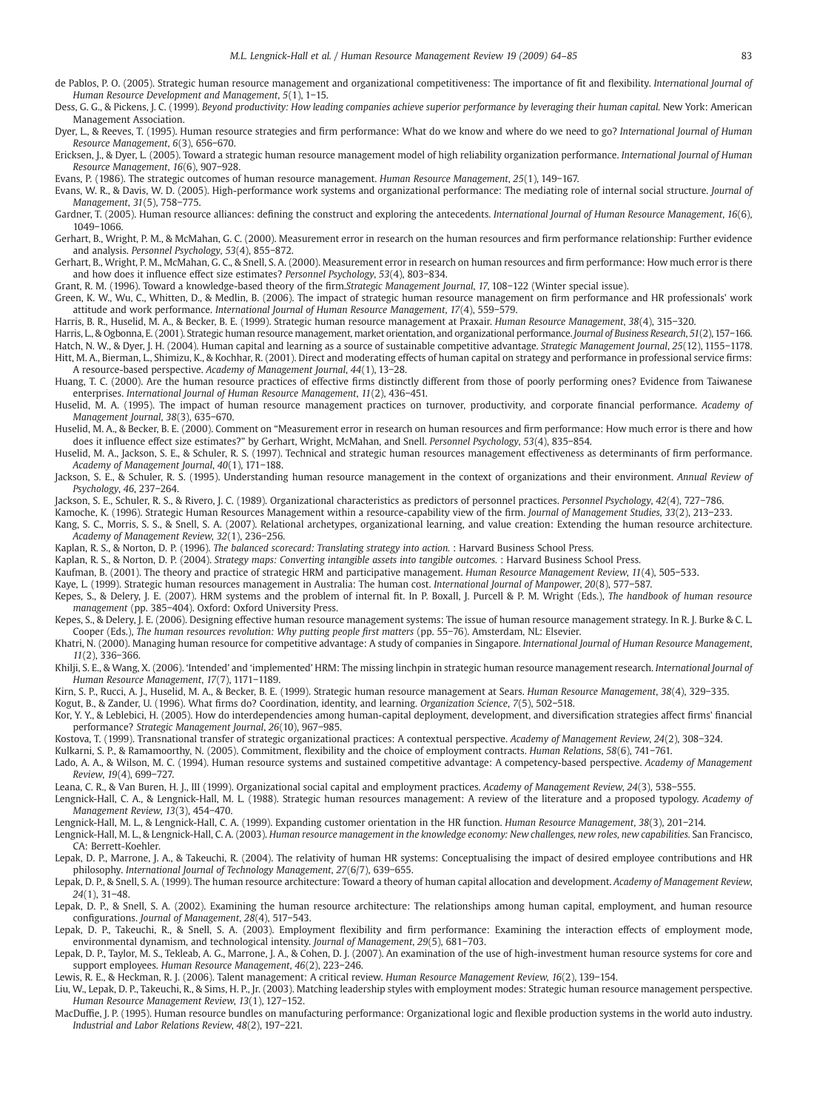<span id="page-19-0"></span>de Pablos, P. O. (2005). Strategic human resource management and organizational competitiveness: The importance of fit and flexibility. International Journal of Human Resource Development and Management, 5(1), 1−15.

Dess, G. G., & Pickens, J. C. (1999). Beyond productivity: How leading companies achieve superior performance by leveraging their human capital. New York: American Management Association.

Dyer, L., & Reeves, T. (1995). Human resource strategies and firm performance: What do we know and where do we need to go? International Journal of Human Resource Management, 6(3), 656−670.

Ericksen, J., & Dyer, L. (2005). Toward a strategic human resource management model of high reliability organization performance. International Journal of Human Resource Management, 16(6), 907−928.

Evans, P. (1986). The strategic outcomes of human resource management. Human Resource Management, 25(1), 149−167.

Evans, W. R., & Davis, W. D. (2005). High-performance work systems and organizational performance: The mediating role of internal social structure. Journal of Management, 31(5), 758−775.

Gardner, T. (2005). Human resource alliances: defining the construct and exploring the antecedents. International Journal of Human Resource Management, 16(6), 1049−1066.

Gerhart, B., Wright, P. M., & McMahan, G. C. (2000). Measurement error in research on the human resources and firm performance relationship: Further evidence and analysis. Personnel Psychology, 53(4), 855−872.

Gerhart, B., Wright, P. M., McMahan, G. C., & Snell, S. A. (2000). Measurement error in research on human resources and firm performance: How much error is there and how does it influence effect size estimates? Personnel Psychology, 53(4), 803−834.

Grant, R. M. (1996). Toward a knowledge-based theory of the firm.Strategic Management Journal, 17, 108−122 (Winter special issue).

Green, K. W., Wu, C., Whitten, D., & Medlin, B. (2006). The impact of strategic human resource management on firm performance and HR professionals' work attitude and work performance. International Journal of Human Resource Management, 17(4), 559−579.

Harris, B. R., Huselid, M. A., & Becker, B. E. (1999). Strategic human resource management at Praxair. Human Resource Management, 38(4), 315−320.

Harris, L., & Ogbonna, E. (2001). Strategic human resource management, market orientation, and organizational performance. Journal of Business Research, 51(2), 157−166. Hatch, N. W., & Dyer, J. H. (2004). Human capital and learning as a source of sustainable competitive advantage. Strategic Management Journal, 25(12), 1155−1178. Hitt, M. A., Bierman, L., Shimizu, K., & Kochhar, R. (2001). Direct and moderating effects of human capital on strategy and performance in professional service firms: A resource-based perspective. Academy of Management Journal, 44(1), 13−28.

Huang, T. C. (2000). Are the human resource practices of effective firms distinctly different from those of poorly performing ones? Evidence from Taiwanese enterprises. International Journal of Human Resource Management, 11(2), 436−451.

Huselid, M. A. (1995). The impact of human resource management practices on turnover, productivity, and corporate financial performance. Academy of Management Journal, 38(3), 635−670.

Huselid, M. A., & Becker, B. E. (2000). Comment on "Measurement error in research on human resources and firm performance: How much error is there and how does it influence effect size estimates?" by Gerhart, Wright, McMahan, and Snell. Personnel Psychology, 53(4), 835−854.

Huselid, M. A., Jackson, S. E., & Schuler, R. S. (1997). Technical and strategic human resources management effectiveness as determinants of firm performance. Academy of Management Journal, 40(1), 171−188.

Jackson, S. E., & Schuler, R. S. (1995). Understanding human resource management in the context of organizations and their environment. Annual Review of Psychology, 46, 237−264.

Jackson, S. E., Schuler, R. S., & Rivero, J. C. (1989). Organizational characteristics as predictors of personnel practices. Personnel Psychology, 42(4), 727−786.

Kamoche, K. (1996). Strategic Human Resources Management within a resource-capability view of the firm. Journal of Management Studies, 33(2), 213−233.

Kang, S. C., Morris, S. S., & Snell, S. A. (2007). Relational archetypes, organizational learning, and value creation: Extending the human resource architecture. Academy of Management Review, 32(1), 236−256.

Kaplan, R. S., & Norton, D. P. (1996). The balanced scorecard: Translating strategy into action. : Harvard Business School Press.

Kaplan, R. S., & Norton, D. P. (2004). Strategy maps: Converting intangible assets into tangible outcomes. : Harvard Business School Press.

Kaufman, B. (2001). The theory and practice of strategic HRM and participative management. Human Resource Management Review, 11(4), 505−533.

Kaye, L. (1999). Strategic human resources management in Australia: The human cost. International Journal of Manpower, 20(8), 577−587.

Kepes, S., & Delery, J. E. (2007). HRM systems and the problem of internal fit. In P. Boxall, J. Purcell & P. M. Wright (Eds.), The handbook of human resource management (pp. 385−404). Oxford: Oxford University Press.

Kepes, S., & Delery, J. E. (2006). Designing effective human resource management systems: The issue of human resource management strategy. In R. J. Burke & C. L. Cooper (Eds.), The human resources revolution: Why putting people first matters (pp. 55−76). Amsterdam, NL: Elsevier.

Khatri, N. (2000). Managing human resource for competitive advantage: A study of companies in Singapore. International Journal of Human Resource Management, 11(2), 336−366.

Khilji, S. E., & Wang, X. (2006). 'Intended' and 'implemented' HRM: The missing linchpin in strategic human resource management research. International Journal of Human Resource Management, 17(7), 1171−1189.

Kirn, S. P., Rucci, A. J., Huselid, M. A., & Becker, B. E. (1999). Strategic human resource management at Sears. Human Resource Management, 38(4), 329−335. Kogut, B., & Zander, U. (1996). What firms do? Coordination, identity, and learning. Organization Science, 7(5), 502−518.

Kor, Y. Y., & Leblebici, H. (2005). How do interdependencies among human-capital deployment, development, and diversification strategies affect firms' financial performance? Strategic Management Journal, 26(10), 967−985.

Kostova, T. (1999). Transnational transfer of strategic organizational practices: A contextual perspective. Academy of Management Review, 24(2), 308−324.

Kulkarni, S. P., & Ramamoorthy, N. (2005). Commitment, flexibility and the choice of employment contracts. Human Relations, 58(6), 741−761.

Lado, A. A., & Wilson, M. C. (1994). Human resource systems and sustained competitive advantage: A competency-based perspective. Academy of Management Review, 19(4), 699−727.

Leana, C. R., & Van Buren, H. J., III (1999). Organizational social capital and employment practices. Academy of Management Review, 24(3), 538−555.

Lengnick-Hall, C. A., & Lengnick-Hall, M. L. (1988). Strategic human resources management: A review of the literature and a proposed typology. Academy of Management Review, 13(3), 454−470.

Lengnick-Hall, M. L., & Lengnick-Hall, C. A. (1999). Expanding customer orientation in the HR function. Human Resource Management, 38(3), 201−214.

Lengnick-Hall, M. L., & Lengnick-Hall, C. A. (2003). Human resource management in the knowledge economy: New challenges, new roles, new capabilities. San Francisco, CA: Berrett-Koehler.

Lepak, D. P., Marrone, J. A., & Takeuchi, R. (2004). The relativity of human HR systems: Conceptualising the impact of desired employee contributions and HR philosophy. International Journal of Technology Management, 27(6/7), 639−655.

Lepak, D. P., & Snell, S. A. (1999). The human resource architecture: Toward a theory of human capital allocation and development. Academy of Management Review, 24(1), 31−48.

Lepak, D. P., & Snell, S. A. (2002). Examining the human resource architecture: The relationships among human capital, employment, and human resource configurations. Journal of Management, 28(4), 517−543.

Lepak, D. P., Takeuchi, R., & Snell, S. A. (2003). Employment flexibility and firm performance: Examining the interaction effects of employment mode, environmental dynamism, and technological intensity. Journal of Management, 29(5), 681−703.

Lepak, D. P., Taylor, M. S., Tekleab, A. G., Marrone, J. A., & Cohen, D. J. (2007). An examination of the use of high-investment human resource systems for core and support employees. Human Resource Management, 46(2), 223−246.

Lewis, R. E., & Heckman, R. J. (2006). Talent management: A critical review. Human Resource Management Review, 16(2), 139−154.

Liu, W., Lepak, D. P., Takeuchi, R., & Sims, H. P., Jr. (2003). Matching leadership styles with employment modes: Strategic human resource management perspective. Human Resource Management Review, 13(1), 127−152.

MacDuffie, J. P. (1995). Human resource bundles on manufacturing performance: Organizational logic and flexible production systems in the world auto industry. Industrial and Labor Relations Review, 48(2), 197−221.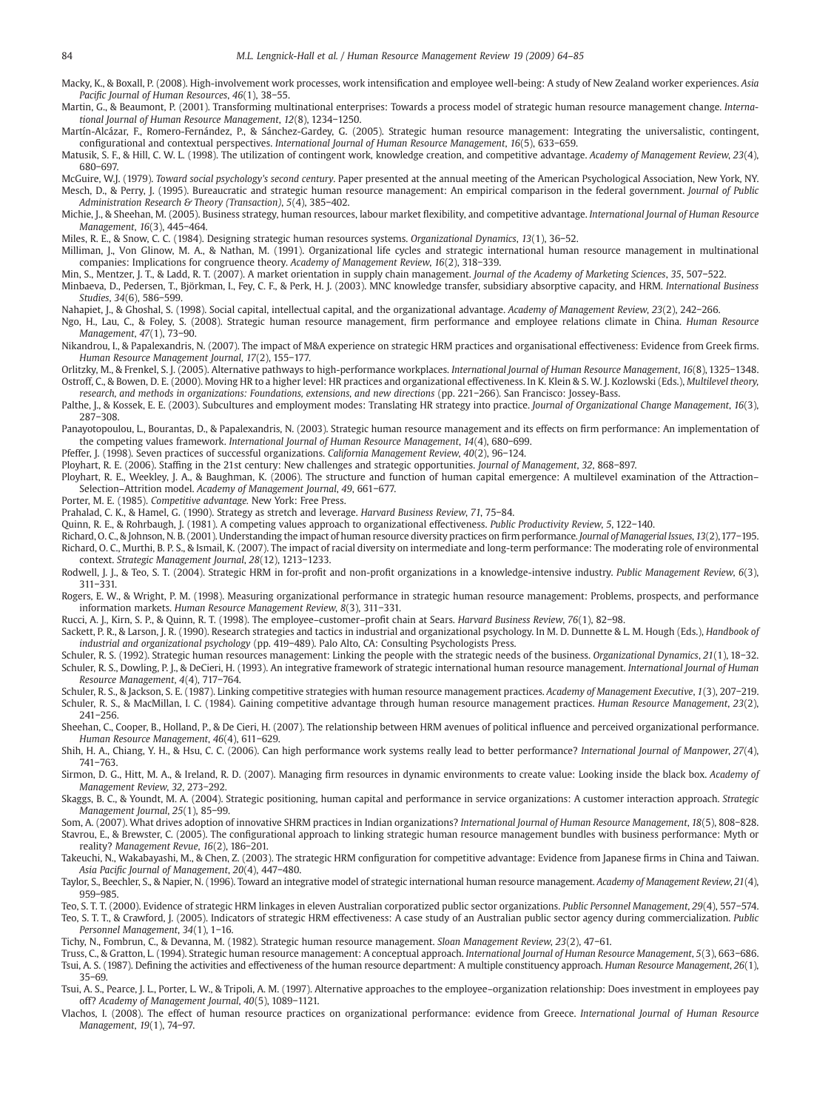<span id="page-20-0"></span>Macky, K., & Boxall, P. (2008). High-involvement work processes, work intensification and employee well-being: A study of New Zealand worker experiences. Asia Pacific Journal of Human Resources, 46(1), 38−55.

Martin, G., & Beaumont, P. (2001). Transforming multinational enterprises: Towards a process model of strategic human resource management change. International Journal of Human Resource Management, 12(8), 1234−1250.

Martín-Alcázar, F., Romero-Fernández, P., & Sánchez-Gardey, G. (2005). Strategic human resource management: Integrating the universalistic, contingent, configurational and contextual perspectives. International Journal of Human Resource Management, 16(5), 633−659.

Matusik, S. F., & Hill, C. W. L. (1998). The utilization of contingent work, knowledge creation, and competitive advantage. Academy of Management Review, 23(4), 680−697.

McGuire, W.J. (1979). Toward social psychology's second century. Paper presented at the annual meeting of the American Psychological Association, New York, NY. Mesch, D., & Perry, J. (1995). Bureaucratic and strategic human resource management: An empirical comparison in the federal government. Journal of Public Administration Research & Theory (Transaction), 5(4), 385−402.

Michie, J., & Sheehan, M. (2005). Business strategy, human resources, labour market flexibility, and competitive advantage. International Journal of Human Resource Management, 16(3), 445−464.

Miles, R. E., & Snow, C. C. (1984). Designing strategic human resources systems. Organizational Dynamics, 13(1), 36−52.

Milliman, J., Von Glinow, M. A., & Nathan, M. (1991). Organizational life cycles and strategic international human resource management in multinational companies: Implications for congruence theory. Academy of Management Review, 16(2), 318−339.

Min, S., Mentzer, J. T., & Ladd, R. T. (2007). A market orientation in supply chain management. Journal of the Academy of Marketing Sciences, 35, 507-522.

Minbaeva, D., Pedersen, T., Björkman, I., Fey, C. F., & Perk, H. J. (2003). MNC knowledge transfer, subsidiary absorptive capacity, and HRM. International Business Studies, 34(6), 586−599.

Nahapiet, J., & Ghoshal, S. (1998). Social capital, intellectual capital, and the organizational advantage. Academy of Management Review, 23(2), 242−266.

Ngo, H., Lau, C., & Foley, S. (2008). Strategic human resource management, firm performance and employee relations climate in China. Human Resource Management, 47(1), 73−90.

Nikandrou, I., & Papalexandris, N. (2007). The impact of M&A experience on strategic HRM practices and organisational effectiveness: Evidence from Greek firms. Human Resource Management Journal, 17(2), 155−177.

Orlitzky, M., & Frenkel, S. J. (2005). Alternative pathways to high-performance workplaces. International Journal of Human Resource Management, 16(8), 1325−1348. Ostroff, C., & Bowen, D. E. (2000). Moving HR to a higher level: HR practices and organizational effectiveness. In K. Klein & S. W. J. Kozlowski (Eds.), Multilevel theory, research, and methods in organizations: Foundations, extensions, and new directions (pp. 221−266). San Francisco: Jossey-Bass.

Palthe, J., & Kossek, E. E. (2003). Subcultures and employment modes: Translating HR strategy into practice. Journal of Organizational Change Management, 16(3), 287−308.

Panayotopoulou, L., Bourantas, D., & Papalexandris, N. (2003). Strategic human resource management and its effects on firm performance: An implementation of the competing values framework. International Journal of Human Resource Management, 14(4), 680−699.

Pfeffer, J. (1998). Seven practices of successful organizations. California Management Review, 40(2), 96−124.

Ployhart, R. E. (2006). Staffing in the 21st century: New challenges and strategic opportunities. Journal of Management, 32, 868−897.

Ployhart, R. E., Weekley, J. A., & Baughman, K. (2006). The structure and function of human capital emergence: A multilevel examination of the Attraction– Selection–Attrition model. Academy of Management Journal, 49, 661−677.

Porter, M. E. (1985). Competitive advantage. New York: Free Press.

Prahalad, C. K., & Hamel, G. (1990). Strategy as stretch and leverage. Harvard Business Review, 71, 75−84.

Quinn, R. E., & Rohrbaugh, J. (1981). A competing values approach to organizational effectiveness. Public Productivity Review, 5, 122−140.

Richard, O. C., & Johnson, N. B. (2001). Understanding the impact of human resource diversity practices on firm performance. Journal of Managerial Issues, 13(2),177−195. Richard, O. C., Murthi, B. P. S., & Ismail, K. (2007). The impact of racial diversity on intermediate and long-term performance: The moderating role of environmental context. Strategic Management Journal, 28(12), 1213−1233.

Rodwell, J. J., & Teo, S. T. (2004). Strategic HRM in for-profit and non-profit organizations in a knowledge-intensive industry. Public Management Review, 6(3), 311−331.

Rogers, E. W., & Wright, P. M. (1998). Measuring organizational performance in strategic human resource management: Problems, prospects, and performance information markets. Human Resource Management Review, 8(3), 311−331.

Rucci, A. J., Kirn, S. P., & Quinn, R. T. (1998). The employee–customer–profit chain at Sears. Harvard Business Review, 76(1), 82−98.

Sackett, P. R., & Larson, J. R. (1990). Research strategies and tactics in industrial and organizational psychology. In M. D. Dunnette & L. M. Hough (Eds.), Handbook of industrial and organizational psychology (pp. 419−489). Palo Alto, CA: Consulting Psychologists Press.

Schuler, R. S. (1992). Strategic human resources management: Linking the people with the strategic needs of the business. Organizational Dynamics, 21(1), 18−32. Schuler, R. S., Dowling, P. J., & DeCieri, H. (1993). An integrative framework of strategic international human resource management. International Journal of Human Resource Management, 4(4), 717−764.

Schuler, R. S., & Jackson, S. E. (1987). Linking competitive strategies with human resource management practices. Academy of Management Executive, 1(3), 207−219. Schuler, R. S., & MacMillan, I. C. (1984). Gaining competitive advantage through human resource management practices. Human Resource Management, 23(2), 241−256.

Sheehan, C., Cooper, B., Holland, P., & De Cieri, H. (2007). The relationship between HRM avenues of political influence and perceived organizational performance. Human Resource Management, 46(4), 611−629.

Shih, H. A., Chiang, Y. H., & Hsu, C. C. (2006). Can high performance work systems really lead to better performance? International Journal of Manpower, 27(4), 741−763.

Sirmon, D. G., Hitt, M. A., & Ireland, R. D. (2007). Managing firm resources in dynamic environments to create value: Looking inside the black box. Academy of Management Review, 32, 273−292.

Skaggs, B. C., & Youndt, M. A. (2004). Strategic positioning, human capital and performance in service organizations: A customer interaction approach. Strategic Management Journal, 25(1), 85−99.

Som, A. (2007). What drives adoption of innovative SHRM practices in Indian organizations? International Journal of Human Resource Management, 18(5), 808−828. Stavrou, E., & Brewster, C. (2005). The configurational approach to linking strategic human resource management bundles with business performance: Myth or reality? Management Revue, 16(2), 186−201.

Takeuchi, N., Wakabayashi, M., & Chen, Z. (2003). The strategic HRM configuration for competitive advantage: Evidence from Japanese firms in China and Taiwan. Asia Pacific Journal of Management, 20(4), 447−480.

Taylor, S., Beechler, S., & Napier, N. (1996). Toward an integrative model of strategic international human resource management. Academy of Management Review, 21(4), 959−985.

Teo, S. T. T. (2000). Evidence of strategic HRM linkages in eleven Australian corporatized public sector organizations. Public Personnel Management, 29(4), 557−574.

Teo, S. T. T., & Crawford, J. (2005). Indicators of strategic HRM effectiveness: A case study of an Australian public sector agency during commercialization. Public Personnel Management, 34(1), 1−16.

Tichy, N., Fombrun, C., & Devanna, M. (1982). Strategic human resource management. Sloan Management Review, 23(2), 47−61.

Truss, C., & Gratton, L. (1994). Strategic human resource management: A conceptual approach. International Journal of Human Resource Management, 5(3), 663−686. Tsui, A. S. (1987). Defining the activities and effectiveness of the human resource department: A multiple constituency approach. Human Resource Management, 26(1), 35−69.

Tsui, A. S., Pearce, J. L., Porter, L. W., & Tripoli, A. M. (1997). Alternative approaches to the employee–organization relationship: Does investment in employees pay off? Academy of Management Journal, 40(5), 1089−1121.

Vlachos, I. (2008). The effect of human resource practices on organizational performance: evidence from Greece. International Journal of Human Resource Management, 19(1), 74−97.